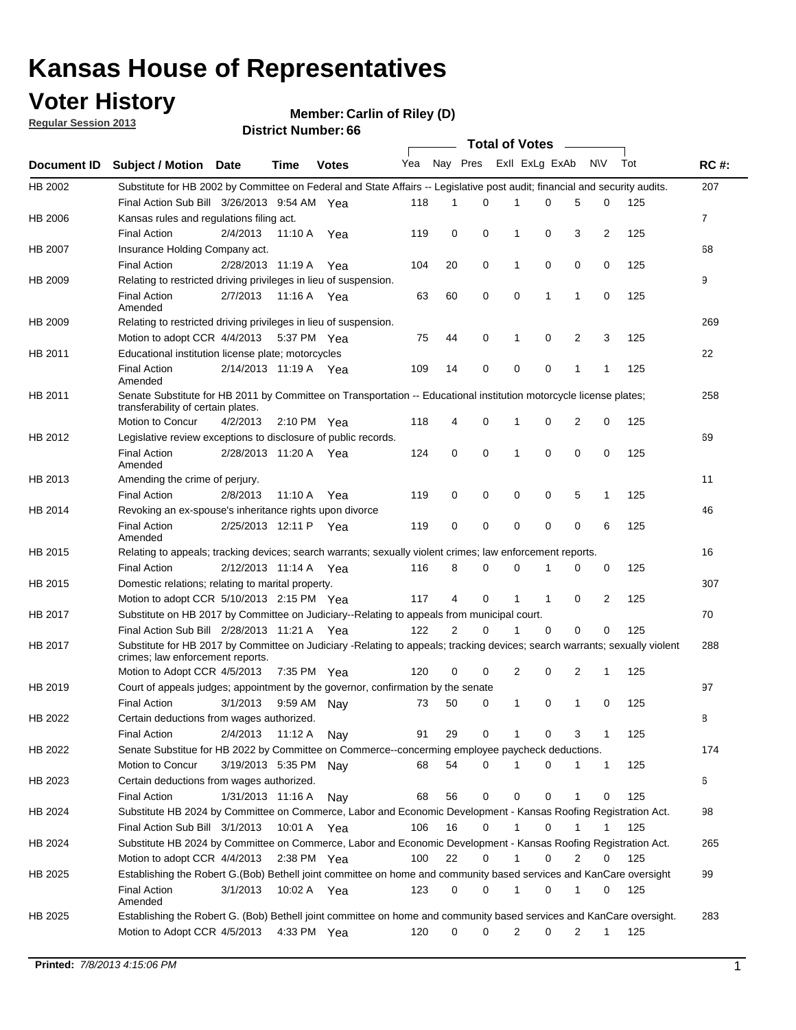### **Voter History**

**Member: Carlin of Riley (D)** 

**Regular Session 2013**

|             |                                                                                                                            |                       |                       |              |                             |    | Total of Votes ______ |   |   |                |              |     |                |
|-------------|----------------------------------------------------------------------------------------------------------------------------|-----------------------|-----------------------|--------------|-----------------------------|----|-----------------------|---|---|----------------|--------------|-----|----------------|
| Document ID | <b>Subject / Motion Date</b>                                                                                               |                       | Time                  | <b>Votes</b> | Yea Nay Pres ExII ExLg ExAb |    |                       |   |   |                | <b>NV</b>    | Tot | <b>RC#:</b>    |
| HB 2002     | Substitute for HB 2002 by Committee on Federal and State Affairs -- Legislative post audit; financial and security audits. |                       |                       |              |                             |    |                       |   |   |                |              |     | 207            |
|             | Final Action Sub Bill 3/26/2013 9:54 AM Yea                                                                                |                       |                       |              | 118                         | 1  | 0                     |   | 0 | 5              | 0            | 125 |                |
| HB 2006     | Kansas rules and regulations filing act.                                                                                   |                       |                       |              |                             |    |                       |   |   |                |              |     | $\overline{7}$ |
|             | <b>Final Action</b>                                                                                                        | 2/4/2013              | 11:10 A               | Yea          | 119                         | 0  | 0                     | 1 | 0 | 3              | 2            | 125 |                |
| HB 2007     | Insurance Holding Company act.                                                                                             |                       |                       |              |                             |    |                       |   |   |                |              |     | 68             |
|             | <b>Final Action</b>                                                                                                        | 2/28/2013 11:19 A     |                       | Yea          | 104                         | 20 | 0                     | 1 | 0 | 0              | 0            | 125 |                |
| HB 2009     | Relating to restricted driving privileges in lieu of suspension.                                                           |                       |                       |              |                             |    |                       |   |   |                |              |     | 9              |
|             | <b>Final Action</b><br>Amended                                                                                             | 2/7/2013              | 11:16 A Yea           |              | 63                          | 60 | 0                     | 0 | 1 | 1              | 0            | 125 |                |
| HB 2009     | Relating to restricted driving privileges in lieu of suspension.                                                           |                       |                       |              |                             |    |                       |   |   |                |              |     | 269            |
|             | Motion to adopt CCR 4/4/2013                                                                                               |                       | 5:37 PM Yea           |              | 75                          | 44 | 0                     | 1 | 0 | 2              | 3            | 125 |                |
| HB 2011     | Educational institution license plate; motorcycles                                                                         |                       |                       |              |                             |    |                       |   |   |                |              |     | 22             |
|             | <b>Final Action</b><br>Amended                                                                                             |                       | 2/14/2013 11:19 A Yea |              | 109                         | 14 | 0                     | 0 | 0 | 1              | 1            | 125 |                |
| HB 2011     | Senate Substitute for HB 2011 by Committee on Transportation -- Educational institution motorcycle license plates;         |                       |                       |              |                             |    |                       |   |   |                |              |     | 258            |
|             | transferability of certain plates.                                                                                         |                       |                       |              |                             |    |                       |   |   |                |              |     |                |
|             | Motion to Concur                                                                                                           | 4/2/2013              | $2:10 \text{ PM}$ Yea |              | 118                         | 4  | 0                     | 1 | 0 | 2              | 0            | 125 |                |
| HB 2012     | Legislative review exceptions to disclosure of public records.                                                             |                       |                       |              |                             |    |                       |   |   |                |              |     | 69             |
|             | <b>Final Action</b><br>Amended                                                                                             | 2/28/2013 11:20 A Yea |                       |              | 124                         | 0  | 0                     | 1 | 0 | 0              | 0            | 125 |                |
| HB 2013     | Amending the crime of perjury.                                                                                             |                       |                       |              |                             |    |                       |   |   |                |              |     | 11             |
|             | <b>Final Action</b>                                                                                                        | 2/8/2013              | 11:10 A               | Yea          | 119                         | 0  | 0                     | 0 | 0 | 5              | 1            | 125 |                |
| HB 2014     | Revoking an ex-spouse's inheritance rights upon divorce                                                                    |                       |                       |              |                             |    |                       |   |   |                |              |     | 46             |
|             | <b>Final Action</b><br>Amended                                                                                             | 2/25/2013 12:11 P Yea |                       |              | 119                         | 0  | 0                     | 0 | 0 | 0              | 6            | 125 |                |
| HB 2015     | Relating to appeals; tracking devices; search warrants; sexually violent crimes; law enforcement reports.                  |                       |                       |              |                             |    |                       |   |   |                |              |     | 16             |
|             | <b>Final Action</b>                                                                                                        | 2/12/2013 11:14 A     |                       | Yea          | 116                         | 8  | 0                     | 0 | 1 | 0              | 0            | 125 |                |
| HB 2015     | Domestic relations; relating to marital property.                                                                          |                       |                       |              |                             |    |                       |   |   |                |              |     | 307            |
|             | Motion to adopt CCR 5/10/2013 2:15 PM Yea                                                                                  |                       |                       |              | 117                         | 4  | 0                     | 1 | 1 | 0              | 2            | 125 |                |
| HB 2017     | Substitute on HB 2017 by Committee on Judiciary--Relating to appeals from municipal court.                                 |                       |                       |              |                             |    |                       |   |   |                |              |     | 70             |
|             | Final Action Sub Bill 2/28/2013 11:21 A Yea                                                                                |                       |                       |              | 122                         | 2  | 0                     | 1 | 0 | 0              | 0            | 125 |                |
| HB 2017     | Substitute for HB 2017 by Committee on Judiciary -Relating to appeals; tracking devices; search warrants; sexually violent |                       |                       |              |                             |    |                       |   |   |                |              |     | 288            |
|             | crimes; law enforcement reports.<br>Motion to Adopt CCR 4/5/2013                                                           |                       | 7:35 PM Yea           |              | 120                         | 0  | 0                     | 2 | 0 | 2              | 1            | 125 |                |
| HB 2019     | Court of appeals judges; appointment by the governor, confirmation by the senate                                           |                       |                       |              |                             |    |                       |   |   |                |              |     | 97             |
|             | Final Action                                                                                                               | 3/1/2013              | 9:59 AM Nay           |              | 73                          | 50 | 0                     | 1 | 0 | 1              | 0            | 125 |                |
| HB 2022     | Certain deductions from wages authorized.                                                                                  |                       |                       |              |                             |    |                       |   |   |                |              |     | В              |
|             |                                                                                                                            | 2/4/2013              |                       |              |                             |    |                       |   |   |                |              |     |                |
|             | Final Action                                                                                                               |                       | 11:12 A               | Nay          | 91                          | 29 | 0                     | 1 | 0 | 3              | 1            | 125 |                |
| HB 2022     | Senate Substitue for HB 2022 by Committee on Commerce--concerming employee paycheck deductions.                            |                       |                       |              |                             |    |                       |   |   |                |              |     | 174            |
|             | Motion to Concur                                                                                                           | 3/19/2013 5:35 PM Nay |                       |              | 68                          | 54 | 0                     | 1 | 0 | 1              | $\mathbf{1}$ | 125 |                |
| HB 2023     | Certain deductions from wages authorized.                                                                                  |                       |                       |              |                             |    |                       |   |   |                |              |     | 6              |
|             | Final Action                                                                                                               | 1/31/2013 11:16 A     |                       | Nav          | 68                          | 56 | 0                     | 0 | 0 | 1              | 0            | 125 |                |
| HB 2024     | Substitute HB 2024 by Committee on Commerce, Labor and Economic Development - Kansas Roofing Registration Act.             |                       |                       |              |                             |    |                       |   |   |                |              |     | 98             |
|             | Final Action Sub Bill 3/1/2013                                                                                             |                       | 10:01 A Yea           |              | 106                         | 16 | $\mathbf 0$           | 1 | 0 | 1              | 1            | 125 |                |
| HB 2024     | Substitute HB 2024 by Committee on Commerce, Labor and Economic Development - Kansas Roofing Registration Act.             |                       |                       |              |                             |    |                       |   |   |                |              |     | 265            |
|             | Motion to adopt CCR 4/4/2013                                                                                               |                       | $2:38$ PM Yea         |              | 100                         | 22 | 0                     | 1 | 0 | $\overline{2}$ | 0            | 125 |                |
| HB 2025     | Establishing the Robert G.(Bob) Bethell joint committee on home and community based services and KanCare oversight         |                       |                       |              |                             |    |                       |   |   |                |              |     | 99             |
|             | Final Action<br>Amended                                                                                                    | 3/1/2013              | 10:02 A Yea           |              | 123                         | 0  | 0                     | 1 | 0 | 1              | 0            | 125 |                |
| HB 2025     | Establishing the Robert G. (Bob) Bethell joint committee on home and community based services and KanCare oversight.       |                       |                       |              |                             |    |                       |   |   |                |              |     | 283            |
|             | Motion to Adopt CCR 4/5/2013                                                                                               |                       | 4:33 PM Yea           |              | 120                         | 0  | 0                     | 2 | 0 | $\overline{2}$ | $\mathbf{1}$ | 125 |                |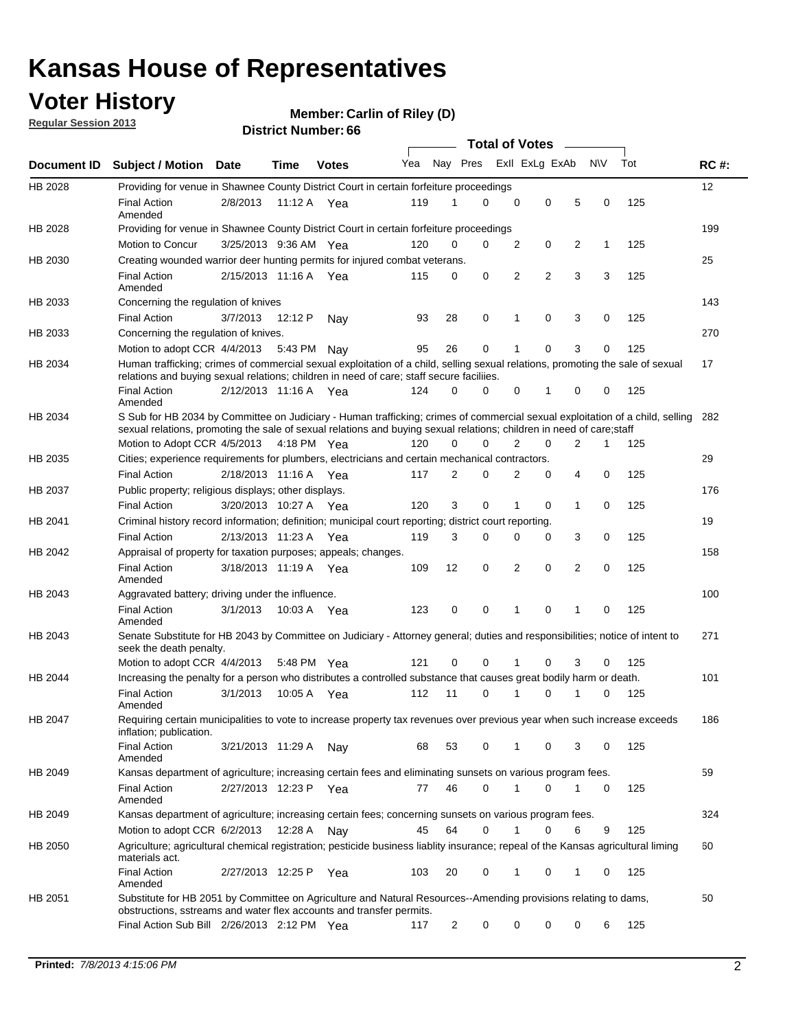### **Voter History**

**Member: Carlin of Riley (D)** 

**Regular Session 2013**

|                    |                                                                                                                                                                                                                                                       |                       |             |              |     |                         | <b>Total of Votes</b> |                |   |                |           |     |             |
|--------------------|-------------------------------------------------------------------------------------------------------------------------------------------------------------------------------------------------------------------------------------------------------|-----------------------|-------------|--------------|-----|-------------------------|-----------------------|----------------|---|----------------|-----------|-----|-------------|
| <b>Document ID</b> | <b>Subject / Motion Date</b>                                                                                                                                                                                                                          |                       | Time        | <b>Votes</b> | Yea | Nay Pres Exll ExLg ExAb |                       |                |   |                | <b>NV</b> | Tot | <b>RC#:</b> |
| HB 2028            | Providing for venue in Shawnee County District Court in certain forfeiture proceedings                                                                                                                                                                |                       |             |              |     |                         |                       |                |   |                |           |     | 12          |
|                    | <b>Final Action</b><br>Amended                                                                                                                                                                                                                        | 2/8/2013              | 11:12 A     | Yea          | 119 | 1                       | 0                     | 0              | 0 | 5              | 0         | 125 |             |
| HB 2028            | Providing for venue in Shawnee County District Court in certain forfeiture proceedings                                                                                                                                                                |                       |             |              |     |                         |                       |                |   |                |           |     | 199         |
|                    | Motion to Concur                                                                                                                                                                                                                                      | 3/25/2013 9:36 AM Yea |             |              | 120 | 0                       | 0                     | 2              | 0 | 2              | 1         | 125 |             |
| HB 2030            | Creating wounded warrior deer hunting permits for injured combat veterans.                                                                                                                                                                            |                       |             |              |     |                         |                       |                |   |                |           |     | 25          |
|                    | <b>Final Action</b><br>Amended                                                                                                                                                                                                                        | 2/15/2013 11:16 A     |             | Yea          | 115 | 0                       | 0                     | 2              | 2 | 3              | 3         | 125 |             |
| HB 2033            | Concerning the regulation of knives                                                                                                                                                                                                                   |                       |             |              |     |                         |                       |                |   |                |           |     | 143         |
|                    | <b>Final Action</b>                                                                                                                                                                                                                                   | 3/7/2013              | 12:12 P     | Nav          | 93  | 28                      | 0                     | 1              | 0 | 3              | 0         | 125 |             |
| HB 2033            | Concerning the regulation of knives.                                                                                                                                                                                                                  |                       |             |              |     |                         |                       |                |   |                |           |     | 270         |
|                    | Motion to adopt CCR 4/4/2013                                                                                                                                                                                                                          |                       | 5:43 PM Nay |              | 95  | 26                      | 0                     |                | 0 | 3              | 0         | 125 |             |
| HB 2034            | Human trafficking; crimes of commercial sexual exploitation of a child, selling sexual relations, promoting the sale of sexual<br>relations and buying sexual relations; children in need of care; staff secure faciliies.                            |                       |             |              |     |                         |                       |                |   |                |           |     | 17          |
|                    | <b>Final Action</b><br>Amended                                                                                                                                                                                                                        | 2/12/2013 11:16 A Yea |             |              | 124 | 0                       | 0                     | 0              | 1 | 0              | 0         | 125 |             |
| HB 2034            | S Sub for HB 2034 by Committee on Judiciary - Human trafficking; crimes of commercial sexual exploitation of a child, selling<br>sexual relations, promoting the sale of sexual relations and buying sexual relations; children in need of care;staff |                       |             |              |     |                         |                       |                |   |                |           |     | 282         |
|                    | Motion to Adopt CCR 4/5/2013 4:18 PM Yea                                                                                                                                                                                                              |                       |             |              | 120 | 0                       | 0                     | $\overline{2}$ | 0 | $\overline{2}$ | 1         | 125 |             |
| HB 2035            | Cities; experience requirements for plumbers, electricians and certain mechanical contractors.                                                                                                                                                        |                       |             |              |     |                         |                       |                |   |                |           |     | 29          |
|                    | <b>Final Action</b>                                                                                                                                                                                                                                   | 2/18/2013 11:16 A     |             | Yea          | 117 | 2                       | 0                     | 2              | 0 | 4              | 0         | 125 |             |
| HB 2037            | Public property; religious displays; other displays.                                                                                                                                                                                                  |                       |             |              |     |                         |                       |                |   |                |           |     | 176         |
|                    | <b>Final Action</b>                                                                                                                                                                                                                                   | 3/20/2013 10:27 A     |             | Yea          | 120 | 3                       | 0                     |                | 0 | 1              | 0         | 125 |             |
| HB 2041            | Criminal history record information; definition; municipal court reporting; district court reporting.                                                                                                                                                 |                       |             |              |     |                         |                       |                |   |                |           |     | 19          |
|                    | <b>Final Action</b>                                                                                                                                                                                                                                   | 2/13/2013 11:23 A     |             | Yea          | 119 | 3                       | 0                     | $\Omega$       | 0 | 3              | 0         | 125 |             |
| HB 2042            | Appraisal of property for taxation purposes; appeals; changes.                                                                                                                                                                                        |                       |             |              |     |                         |                       |                |   |                |           |     | 158         |
|                    | <b>Final Action</b><br>Amended                                                                                                                                                                                                                        | 3/18/2013 11:19 A Yea |             |              | 109 | 12                      | 0                     | 2              | 0 | 2              | 0         | 125 |             |
| HB 2043            | Aggravated battery; driving under the influence.                                                                                                                                                                                                      |                       |             |              |     |                         |                       |                |   |                |           |     | 100         |
|                    | <b>Final Action</b><br>Amended                                                                                                                                                                                                                        | 3/1/2013              |             | 10:03 A Yea  | 123 | 0                       | 0                     | 1              | 0 | 1              | 0         | 125 |             |
| HB 2043            | Senate Substitute for HB 2043 by Committee on Judiciary - Attorney general; duties and responsibilities; notice of intent to<br>seek the death penalty.                                                                                               |                       |             |              |     |                         |                       |                |   |                |           |     | 271         |
|                    | Motion to adopt CCR 4/4/2013                                                                                                                                                                                                                          |                       |             | 5:48 PM Yea  | 121 | 0                       | 0                     | 1              | 0 | 3              | 0         | 125 |             |
| HB 2044            | Increasing the penalty for a person who distributes a controlled substance that causes great bodily harm or death.                                                                                                                                    |                       |             |              |     |                         |                       |                |   |                |           |     | 101         |
|                    | <b>Final Action</b><br>Amended                                                                                                                                                                                                                        | 3/1/2013              | 10:05 A     | Yea          | 112 | 11                      | 0                     | 1              | 0 | 1              | 0         | 125 |             |
| HB 2047            | Requiring certain municipalities to vote to increase property tax revenues over previous year when such increase exceeds<br>inflation; publication.                                                                                                   |                       |             |              |     |                         |                       |                |   |                |           |     | 186         |
|                    | <b>Final Action</b><br>Amended                                                                                                                                                                                                                        | 3/21/2013 11:29 A     |             | Nav          | 68  | 53                      | 0                     | 1              | 0 | 3              | 0         | 125 |             |
| HB 2049            | Kansas department of agriculture; increasing certain fees and eliminating sunsets on various program fees.                                                                                                                                            |                       |             |              |     |                         |                       |                |   |                |           |     | 59          |
|                    | <b>Final Action</b><br>Amended                                                                                                                                                                                                                        | 2/27/2013 12:23 P     |             | Yea          | 77  | 46                      | 0                     | 1              | 0 |                | 0         | 125 |             |
| HB 2049            | Kansas department of agriculture; increasing certain fees; concerning sunsets on various program fees.                                                                                                                                                |                       |             |              |     |                         |                       |                |   |                |           |     | 324         |
|                    | Motion to adopt CCR 6/2/2013                                                                                                                                                                                                                          |                       | 12:28 A     | Nav          | 45  | 64                      | 0                     | 1              | 0 | 6              | 9         | 125 |             |
| HB 2050            | Agriculture; agricultural chemical registration; pesticide business liablity insurance; repeal of the Kansas agricultural liming<br>materials act.                                                                                                    |                       |             |              |     |                         |                       |                |   |                |           |     | 60          |
|                    | <b>Final Action</b><br>Amended                                                                                                                                                                                                                        | 2/27/2013 12:25 P     |             | Yea          | 103 | 20                      | 0                     |                | 0 | 1              | 0         | 125 |             |
| HB 2051            | Substitute for HB 2051 by Committee on Agriculture and Natural Resources--Amending provisions relating to dams,<br>obstructions, sstreams and water flex accounts and transfer permits.                                                               |                       |             |              |     |                         |                       |                |   |                |           |     | 50          |
|                    | Final Action Sub Bill 2/26/2013 2:12 PM Yea                                                                                                                                                                                                           |                       |             |              | 117 | $\overline{c}$          | 0                     | 0              | 0 | 0              | 6         | 125 |             |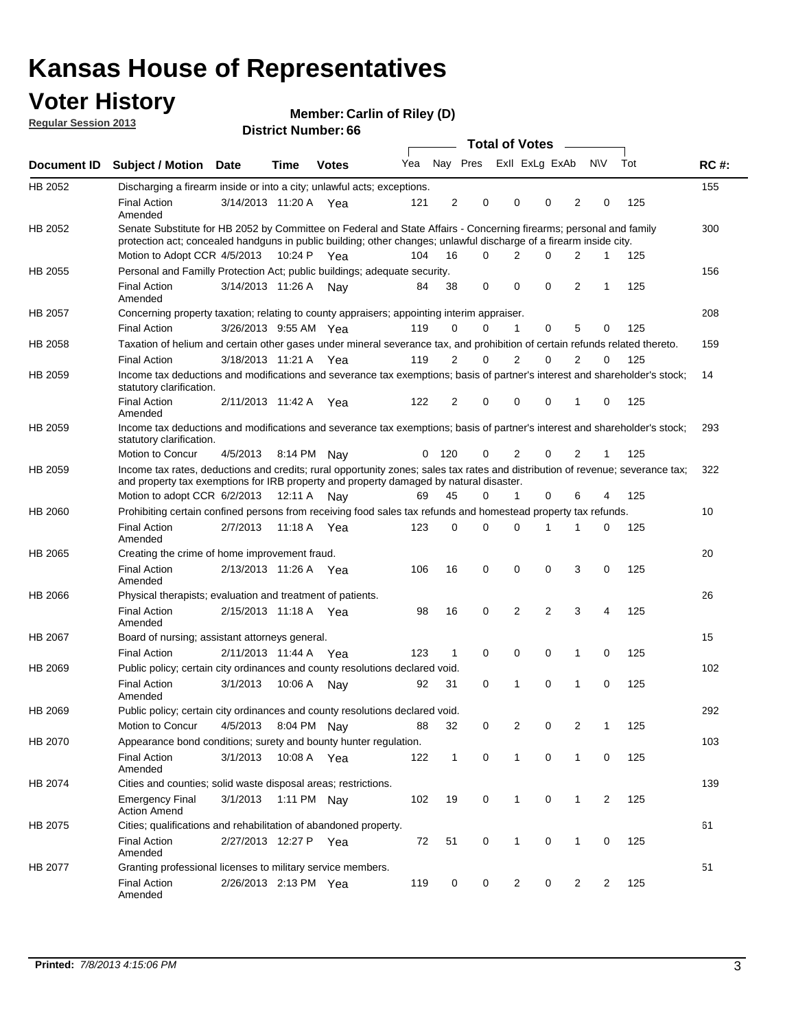### **Voter History**

**Member: Carlin of Riley (D)** 

**Regular Session 2013**

|             |                                                                                                                                                                                                                                          |                       |         | <b>DISTRICT MAILINGL. 00</b> |     |              |             | Total of Votes – |                |                |                |                |     |             |
|-------------|------------------------------------------------------------------------------------------------------------------------------------------------------------------------------------------------------------------------------------------|-----------------------|---------|------------------------------|-----|--------------|-------------|------------------|----------------|----------------|----------------|----------------|-----|-------------|
| Document ID | <b>Subject / Motion</b>                                                                                                                                                                                                                  | <b>Date</b>           | Time    | <b>Votes</b>                 | Yea |              | Nay Pres    |                  | Exll ExLg ExAb |                |                | <b>NV</b>      | Tot | <b>RC#:</b> |
| HB 2052     | Discharging a firearm inside or into a city; unlawful acts; exceptions.                                                                                                                                                                  |                       |         |                              |     |              |             |                  |                |                |                |                |     | 155         |
|             | <b>Final Action</b><br>Amended                                                                                                                                                                                                           | 3/14/2013 11:20 A Yea |         |                              | 121 | 2            | 0           |                  | 0              | 0              | 2              | 0              | 125 |             |
| HB 2052     | Senate Substitute for HB 2052 by Committee on Federal and State Affairs - Concerning firearms; personal and family<br>protection act; concealed handguns in public building; other changes; unlawful discharge of a firearm inside city. |                       |         |                              |     |              |             |                  |                |                |                |                |     | 300         |
|             | Motion to Adopt CCR 4/5/2013 10:24 P Yea                                                                                                                                                                                                 |                       |         |                              | 104 | 16           | $\Omega$    |                  | 2              | 0              | 2              | 1              | 125 |             |
| HB 2055     | Personal and Familly Protection Act; public buildings; adequate security.                                                                                                                                                                |                       |         |                              |     |              |             |                  |                |                |                |                |     | 156         |
|             | <b>Final Action</b><br>Amended                                                                                                                                                                                                           | 3/14/2013 11:26 A     |         | Nav                          | 84  | 38           | 0           |                  | $\mathbf 0$    | 0              | $\overline{2}$ | 1              | 125 |             |
| HB 2057     | Concerning property taxation; relating to county appraisers; appointing interim appraiser.                                                                                                                                               |                       |         |                              |     |              |             |                  |                |                |                |                |     | 208         |
|             | <b>Final Action</b>                                                                                                                                                                                                                      | 3/26/2013 9:55 AM Yea |         |                              | 119 | 0            | 0           |                  | 1              | 0              | 5              | 0              | 125 |             |
| HB 2058     | Taxation of helium and certain other gases under mineral severance tax, and prohibition of certain refunds related thereto.                                                                                                              |                       |         |                              |     |              |             |                  |                |                |                |                |     | 159         |
|             | <b>Final Action</b>                                                                                                                                                                                                                      | 3/18/2013 11:21 A Yea |         |                              | 119 | 2            | 0           |                  | 2              | 0              | 2              | 0              | 125 |             |
| HB 2059     | Income tax deductions and modifications and severance tax exemptions; basis of partner's interest and shareholder's stock;<br>statutory clarification.                                                                                   |                       |         |                              |     |              |             |                  |                |                |                |                |     | 14          |
|             | <b>Final Action</b><br>Amended                                                                                                                                                                                                           | 2/11/2013 11:42 A     |         | Yea                          | 122 | 2            | 0           |                  | $\Omega$       | 0              | 1              | 0              | 125 |             |
| HB 2059     | Income tax deductions and modifications and severance tax exemptions; basis of partner's interest and shareholder's stock;<br>statutory clarification.                                                                                   |                       |         |                              |     |              |             |                  |                |                |                |                |     | 293         |
|             | <b>Motion to Concur</b>                                                                                                                                                                                                                  | 4/5/2013              |         | 8:14 PM Nav                  | 0   | 120          | 0           |                  | 2              | $\Omega$       | 2              | 1              | 125 |             |
| HB 2059     | Income tax rates, deductions and credits; rural opportunity zones; sales tax rates and distribution of revenue; severance tax;<br>and property tax exemptions for IRB property and property damaged by natural disaster.                 |                       |         |                              |     |              |             |                  |                |                |                |                |     | 322         |
|             | Motion to adopt CCR 6/2/2013                                                                                                                                                                                                             |                       | 12:11 A | Nav                          | 69  | 45           | 0           |                  | $\mathbf{1}$   | 0              | 6              | 4              | 125 |             |
| HB 2060     | Prohibiting certain confined persons from receiving food sales tax refunds and homestead property tax refunds.                                                                                                                           |                       |         |                              |     |              |             |                  |                |                |                |                |     | 10          |
|             | <b>Final Action</b><br>Amended                                                                                                                                                                                                           | 2/7/2013              | 11:18 A | Yea                          | 123 | 0            | $\Omega$    |                  | $\Omega$       | 1              | 1              | 0              | 125 |             |
| HB 2065     | Creating the crime of home improvement fraud.                                                                                                                                                                                            |                       |         |                              |     |              |             |                  |                |                |                |                |     | 20          |
|             | <b>Final Action</b><br>Amended                                                                                                                                                                                                           | 2/13/2013 11:26 A Yea |         |                              | 106 | 16           | $\mathbf 0$ |                  | $\mathbf 0$    | 0              | 3              | 0              | 125 |             |
| HB 2066     | Physical therapists; evaluation and treatment of patients.                                                                                                                                                                               |                       |         |                              |     |              |             |                  |                |                |                |                |     | 26          |
|             | <b>Final Action</b><br>Amended                                                                                                                                                                                                           | 2/15/2013 11:18 A Yea |         |                              | 98  | 16           | 0           |                  | 2              | $\overline{2}$ | 3              | 4              | 125 |             |
| HB 2067     | Board of nursing; assistant attorneys general.                                                                                                                                                                                           |                       |         |                              |     |              |             |                  |                |                |                |                |     | 15          |
|             | <b>Final Action</b>                                                                                                                                                                                                                      | 2/11/2013 11:44 A Yea |         |                              | 123 | 1            | $\mathbf 0$ |                  | 0              | 0              | 1              | 0              | 125 |             |
| HB 2069     | Public policy; certain city ordinances and county resolutions declared void.                                                                                                                                                             |                       |         |                              |     |              |             |                  |                |                |                |                |     | 102         |
|             | <b>Final Action</b><br>Amended                                                                                                                                                                                                           | 3/1/2013              | 10:06 A | Nav                          | 92  | 31           | $\Omega$    |                  | 1              | $\Omega$       | 1              | $\Omega$       | 125 |             |
| HB 2069     | Public policy; certain city ordinances and county resolutions declared void.                                                                                                                                                             |                       |         |                              |     |              |             |                  |                |                |                |                |     | 292         |
|             | Motion to Concur                                                                                                                                                                                                                         | 4/5/2013              |         | 8:04 PM Nay                  | 88  | 32           | 0           |                  | $\overline{2}$ | 0              | $\overline{2}$ | 1              | 125 |             |
| HB 2070     | Appearance bond conditions; surety and bounty hunter regulation.                                                                                                                                                                         |                       |         |                              |     |              |             |                  |                |                |                |                |     | 103         |
|             | <b>Final Action</b><br>Amended                                                                                                                                                                                                           | 3/1/2013              |         | 10:08 A Yea                  | 122 | $\mathbf{1}$ | $\mathbf 0$ |                  | $\mathbf{1}$   | 0              | $\mathbf{1}$   | 0              | 125 |             |
| HB 2074     | Cities and counties; solid waste disposal areas; restrictions.                                                                                                                                                                           |                       |         |                              |     |              |             |                  |                |                |                |                |     | 139         |
|             | <b>Emergency Final</b><br><b>Action Amend</b>                                                                                                                                                                                            | 3/1/2013              |         | 1:11 PM Nay                  | 102 | 19           | 0           |                  | $\mathbf{1}$   | 0              | 1              | $\overline{2}$ | 125 |             |
| HB 2075     | Cities; qualifications and rehabilitation of abandoned property.                                                                                                                                                                         |                       |         |                              |     |              |             |                  |                |                |                |                |     | 61          |
|             | <b>Final Action</b><br>Amended                                                                                                                                                                                                           | 2/27/2013 12:27 P     |         | Yea                          | 72  | 51           | 0           |                  | 1              | 0              | 1              | 0              | 125 |             |
| HB 2077     | Granting professional licenses to military service members.                                                                                                                                                                              |                       |         |                              |     |              |             |                  |                |                |                |                |     | 51          |
|             | <b>Final Action</b><br>Amended                                                                                                                                                                                                           | 2/26/2013 2:13 PM Yea |         |                              | 119 | 0            | 0           |                  | 2              | 0              | 2              | 2              | 125 |             |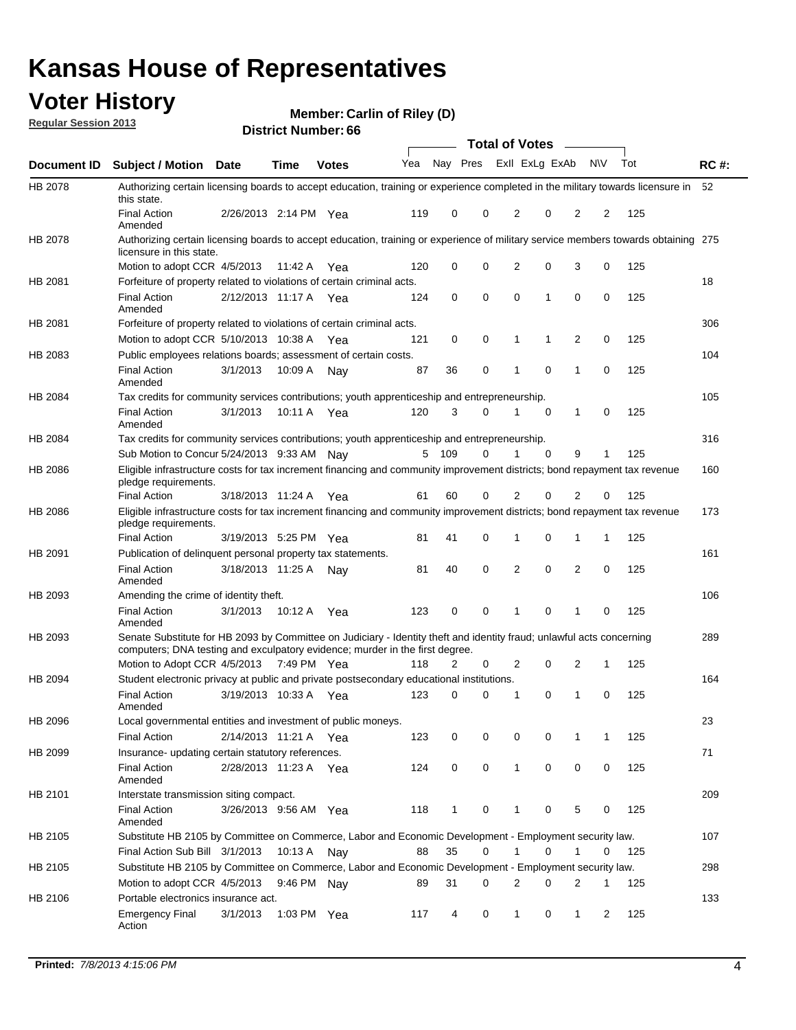### **Voter History**

**Member: Carlin of Riley (D)** 

**Regular Session 2013**

|                    |                                                                                                                                                                                                       |                       |             |              |     |          |   | <b>Total of Votes</b> |             |              |                |     |             |
|--------------------|-------------------------------------------------------------------------------------------------------------------------------------------------------------------------------------------------------|-----------------------|-------------|--------------|-----|----------|---|-----------------------|-------------|--------------|----------------|-----|-------------|
| <b>Document ID</b> | Subject / Motion Date                                                                                                                                                                                 |                       | <b>Time</b> | <b>Votes</b> | Yea | Nay Pres |   | Exll ExLg ExAb        |             |              | <b>NV</b>      | Tot | <b>RC#:</b> |
| HB 2078            | Authorizing certain licensing boards to accept education, training or experience completed in the military towards licensure in<br>this state.                                                        |                       |             |              |     |          |   |                       |             |              |                |     | 52          |
|                    | <b>Final Action</b><br>Amended                                                                                                                                                                        | 2/26/2013 2:14 PM Yea |             |              | 119 | 0        | 0 | 2                     | 0           | 2            | 2              | 125 |             |
| HB 2078            | Authorizing certain licensing boards to accept education, training or experience of military service members towards obtaining 275<br>licensure in this state.                                        |                       |             |              |     |          |   |                       |             |              |                |     |             |
|                    | Motion to adopt CCR 4/5/2013                                                                                                                                                                          |                       | 11:42 A     | Yea          | 120 | 0        | 0 | 2                     | 0           | 3            | 0              | 125 |             |
| HB 2081            | Forfeiture of property related to violations of certain criminal acts.                                                                                                                                |                       |             |              |     |          |   |                       |             |              |                |     | 18          |
|                    | <b>Final Action</b><br>Amended                                                                                                                                                                        | 2/12/2013 11:17 A Yea |             |              | 124 | 0        | 0 | 0                     | 1           | 0            | 0              | 125 |             |
| HB 2081            | Forfeiture of property related to violations of certain criminal acts.                                                                                                                                |                       |             |              |     |          |   |                       |             |              |                |     | 306         |
|                    | Motion to adopt CCR 5/10/2013 10:38 A                                                                                                                                                                 |                       |             | Yea          | 121 | 0        | 0 | 1                     | 1           | 2            | 0              | 125 |             |
| HB 2083            | Public employees relations boards; assessment of certain costs.                                                                                                                                       |                       |             |              |     |          |   |                       |             |              |                |     | 104         |
|                    | <b>Final Action</b><br>Amended                                                                                                                                                                        | 3/1/2013              | 10:09 A     | Nav          | 87  | 36       | 0 | 1                     | 0           | 1            | 0              | 125 |             |
| HB 2084            | Tax credits for community services contributions; youth apprenticeship and entrepreneurship.                                                                                                          |                       |             |              |     |          |   |                       |             |              |                |     | 105         |
|                    | <b>Final Action</b><br>Amended                                                                                                                                                                        | 3/1/2013              | 10:11 A Yea |              | 120 | 3        | 0 | 1                     | 0           | 1            | 0              | 125 |             |
| HB 2084            | Tax credits for community services contributions; youth apprenticeship and entrepreneurship.                                                                                                          |                       |             |              |     |          |   |                       |             |              |                |     | 316         |
|                    | Sub Motion to Concur 5/24/2013 9:33 AM Nay                                                                                                                                                            |                       |             |              |     | 5 109    | 0 | 1                     | $\mathbf 0$ | 9            | 1              | 125 |             |
| HB 2086            | Eligible infrastructure costs for tax increment financing and community improvement districts; bond repayment tax revenue<br>pledge requirements.                                                     |                       |             |              |     |          |   |                       |             |              |                |     | 160         |
|                    | <b>Final Action</b>                                                                                                                                                                                   | 3/18/2013 11:24 A     |             | Yea          | 61  | 60       | 0 | 2                     | 0           | 2            | 0              | 125 |             |
| HB 2086            | Eligible infrastructure costs for tax increment financing and community improvement districts; bond repayment tax revenue<br>pledge requirements.                                                     |                       |             |              |     |          |   |                       |             |              |                |     | 173         |
|                    | <b>Final Action</b>                                                                                                                                                                                   | 3/19/2013 5:25 PM     |             | Yea          | 81  | 41       | 0 | 1                     | 0           | 1            | 1              | 125 |             |
| HB 2091            | Publication of delinquent personal property tax statements.                                                                                                                                           |                       |             |              |     |          |   |                       |             |              |                |     | 161         |
|                    | <b>Final Action</b><br>Amended                                                                                                                                                                        | 3/18/2013 11:25 A Nay |             |              | 81  | 40       | 0 | 2                     | $\mathbf 0$ | 2            | 0              | 125 |             |
| HB 2093            | Amending the crime of identity theft.                                                                                                                                                                 |                       |             |              |     |          |   |                       |             |              |                |     | 106         |
|                    | <b>Final Action</b><br>Amended                                                                                                                                                                        | 3/1/2013              | 10:12 A Yea |              | 123 | 0        | 0 | 1                     | 0           | 1            | $\Omega$       | 125 |             |
| HB 2093            | Senate Substitute for HB 2093 by Committee on Judiciary - Identity theft and identity fraud; unlawful acts concerning<br>computers; DNA testing and exculpatory evidence; murder in the first degree. |                       |             |              |     |          |   |                       |             |              |                |     | 289         |
|                    | Motion to Adopt CCR 4/5/2013 7:49 PM Yea                                                                                                                                                              |                       |             |              | 118 | 2        | 0 | 2                     | 0           | 2            | 1              | 125 |             |
| HB 2094            | Student electronic privacy at public and private postsecondary educational institutions.                                                                                                              |                       |             |              |     |          |   |                       |             |              |                |     | 164         |
|                    | <b>Final Action</b><br>Amended                                                                                                                                                                        | 3/19/2013 10:33 A     |             | Yea          | 123 | 0        | 0 | 1                     | 0           | 1            | 0              | 125 |             |
| HB 2096            | Local governmental entities and investment of public moneys.                                                                                                                                          |                       |             |              |     |          |   |                       |             |              |                |     | 23          |
|                    | <b>Final Action</b>                                                                                                                                                                                   | 2/14/2013 11:21 A     |             | Yea          | 123 | 0        | 0 | 0                     | 0           | 1            | 1              | 125 |             |
| HB 2099            | Insurance- updating certain statutory references.                                                                                                                                                     |                       |             |              |     |          |   |                       |             |              |                |     | 71          |
|                    | <b>Final Action</b><br>Amended                                                                                                                                                                        | 2/28/2013 11:23 A Yea |             |              | 124 | 0        | 0 | $\mathbf{1}$          | 0           | 0            | 0              | 125 |             |
| HB 2101            | Interstate transmission siting compact.                                                                                                                                                               |                       |             |              |     |          |   |                       |             |              |                |     | 209         |
|                    | Final Action<br>Amended                                                                                                                                                                               | 3/26/2013 9:56 AM Yea |             |              | 118 | 1        | 0 | 1                     | 0           | 5            | 0              | 125 |             |
| HB 2105            | Substitute HB 2105 by Committee on Commerce, Labor and Economic Development - Employment security law.                                                                                                |                       |             |              |     |          |   |                       |             |              |                |     | 107         |
|                    | Final Action Sub Bill 3/1/2013                                                                                                                                                                        |                       | 10:13 A Nay |              | 88  | 35       | 0 |                       | 0           | 1            | 0              | 125 |             |
| HB 2105            | Substitute HB 2105 by Committee on Commerce, Labor and Economic Development - Employment security law.                                                                                                |                       |             |              |     |          |   |                       |             |              |                |     | 298         |
|                    | Motion to adopt CCR 4/5/2013                                                                                                                                                                          |                       | 9:46 PM Nay |              | 89  | 31       | 0 | 2                     | 0           | 2            | 1              | 125 |             |
| HB 2106            | Portable electronics insurance act.                                                                                                                                                                   |                       |             |              |     |          |   |                       |             |              |                |     | 133         |
|                    | Emergency Final<br>Action                                                                                                                                                                             | 3/1/2013              | 1:03 PM Yea |              | 117 | 4        | 0 | $\mathbf{1}$          | 0           | $\mathbf{1}$ | $\overline{2}$ | 125 |             |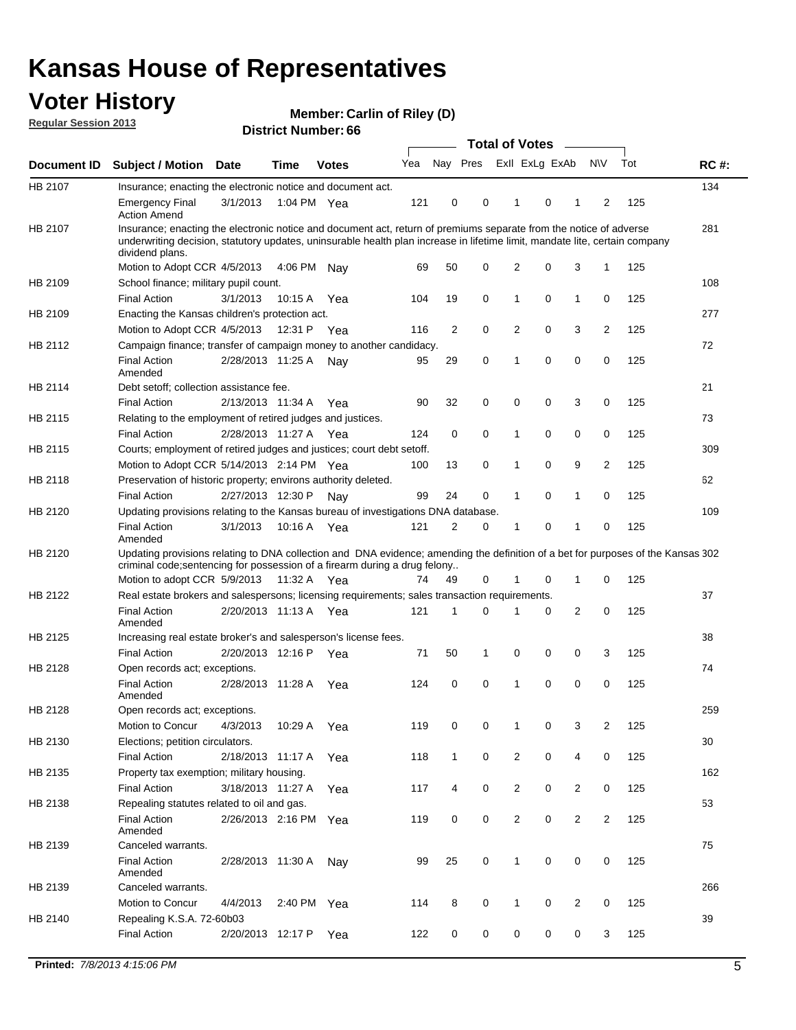### **Voter History**

**Member: Carlin of Riley (D)** 

**Regular Session 2013**

|             |                                                                                                                                                                                                                                                                      |                       |             | טט וסווווטנו ועווווטכו |     |                |             | <b>Total of Votes</b> |   | $\sim$         |                |     |             |
|-------------|----------------------------------------------------------------------------------------------------------------------------------------------------------------------------------------------------------------------------------------------------------------------|-----------------------|-------------|------------------------|-----|----------------|-------------|-----------------------|---|----------------|----------------|-----|-------------|
| Document ID | <b>Subject / Motion Date</b>                                                                                                                                                                                                                                         |                       | <b>Time</b> | <b>Votes</b>           | Yea | Nay Pres       |             | Exll ExLg ExAb        |   |                | <b>NV</b>      | Tot | <b>RC#:</b> |
| HB 2107     | Insurance; enacting the electronic notice and document act.                                                                                                                                                                                                          |                       |             |                        |     |                |             |                       |   |                |                |     | 134         |
|             | <b>Emergency Final</b><br><b>Action Amend</b>                                                                                                                                                                                                                        | 3/1/2013              | 1:04 PM Yea |                        | 121 | 0              | 0           | 1                     | 0 | 1              | 2              | 125 |             |
| HB 2107     | Insurance; enacting the electronic notice and document act, return of premiums separate from the notice of adverse<br>underwriting decision, statutory updates, uninsurable health plan increase in lifetime limit, mandate lite, certain company<br>dividend plans. |                       |             |                        |     |                |             |                       |   |                |                |     | 281         |
|             | Motion to Adopt CCR 4/5/2013                                                                                                                                                                                                                                         |                       | 4:06 PM     | Nav                    | 69  | 50             | 0           | 2                     | 0 | 3              | $\mathbf{1}$   | 125 |             |
| HB 2109     | School finance; military pupil count.                                                                                                                                                                                                                                |                       |             |                        |     |                |             |                       |   |                |                |     | 108         |
|             | <b>Final Action</b>                                                                                                                                                                                                                                                  | 3/1/2013              | 10:15A      | Yea                    | 104 | 19             | 0           | 1                     | 0 | 1              | 0              | 125 |             |
| HB 2109     | Enacting the Kansas children's protection act.                                                                                                                                                                                                                       |                       |             |                        |     |                |             |                       |   |                |                |     | 277         |
|             | Motion to Adopt CCR 4/5/2013                                                                                                                                                                                                                                         |                       | 12:31 P     | Yea                    | 116 | $\overline{2}$ | 0           | 2                     | 0 | 3              | $\overline{2}$ | 125 |             |
| HB 2112     | Campaign finance; transfer of campaign money to another candidacy.                                                                                                                                                                                                   |                       |             |                        |     |                |             |                       |   |                |                |     | 72          |
|             | <b>Final Action</b><br>Amended                                                                                                                                                                                                                                       | 2/28/2013 11:25 A     |             | Nay                    | 95  | 29             | 0           | 1                     | 0 | 0              | 0              | 125 |             |
| HB 2114     | Debt setoff; collection assistance fee.                                                                                                                                                                                                                              |                       |             |                        |     |                |             |                       |   |                |                |     | 21          |
|             | <b>Final Action</b>                                                                                                                                                                                                                                                  | 2/13/2013 11:34 A     |             | Yea                    | 90  | 32             | 0           | 0                     | 0 | 3              | 0              | 125 |             |
| HB 2115     | Relating to the employment of retired judges and justices.                                                                                                                                                                                                           |                       |             |                        |     |                |             |                       |   |                |                |     | 73          |
|             | <b>Final Action</b>                                                                                                                                                                                                                                                  | 2/28/2013 11:27 A     |             | Yea                    | 124 | 0              | $\mathbf 0$ | 1                     | 0 | 0              | 0              | 125 |             |
| HB 2115     | Courts; employment of retired judges and justices; court debt setoff.                                                                                                                                                                                                |                       |             |                        |     |                |             |                       |   |                |                |     | 309         |
|             | Motion to Adopt CCR 5/14/2013 2:14 PM Yea                                                                                                                                                                                                                            |                       |             |                        | 100 | 13             | 0           | 1                     | 0 | 9              | $\overline{2}$ | 125 |             |
| HB 2118     | Preservation of historic property; environs authority deleted.                                                                                                                                                                                                       |                       |             |                        |     |                |             |                       |   |                |                |     | 62          |
|             | <b>Final Action</b>                                                                                                                                                                                                                                                  | 2/27/2013 12:30 P     |             | Nay                    | 99  | 24             | 0           | 1                     | 0 | 1              | 0              | 125 |             |
| HB 2120     | Updating provisions relating to the Kansas bureau of investigations DNA database.                                                                                                                                                                                    |                       |             |                        |     |                |             |                       |   |                |                |     | 109         |
|             | <b>Final Action</b><br>Amended                                                                                                                                                                                                                                       | 3/1/2013              | 10:16 A     | Yea                    | 121 | 2              | 0           | 1                     | 0 | 1              | 0              | 125 |             |
| HB 2120     | Updating provisions relating to DNA collection and DNA evidence; amending the definition of a bet for purposes of the Kansas 302<br>criminal code; sentencing for possession of a firearm during a drug felony                                                       |                       |             |                        |     |                |             |                       |   |                |                |     |             |
|             | Motion to adopt CCR 5/9/2013                                                                                                                                                                                                                                         |                       | 11:32 A Yea |                        | 74  | 49             | 0           |                       | 0 | 1              | 0              | 125 |             |
| HB 2122     | Real estate brokers and salespersons; licensing requirements; sales transaction requirements.                                                                                                                                                                        |                       |             |                        |     |                |             |                       |   |                |                |     | 37          |
|             | <b>Final Action</b><br>Amended                                                                                                                                                                                                                                       | 2/20/2013 11:13 A Yea |             |                        | 121 | 1              | 0           |                       | 0 | 2              | 0              | 125 |             |
| HB 2125     | Increasing real estate broker's and salesperson's license fees.                                                                                                                                                                                                      |                       |             |                        |     |                |             |                       |   |                |                |     | 38          |
|             | <b>Final Action</b>                                                                                                                                                                                                                                                  | 2/20/2013 12:16 P     |             | Yea                    | 71  | 50             | 1           | 0                     | 0 | 0              | 3              | 125 |             |
| HB 2128     | Open records act; exceptions.                                                                                                                                                                                                                                        |                       |             |                        |     |                |             |                       |   |                |                |     | 74          |
|             | <b>Final Action</b><br>Amended                                                                                                                                                                                                                                       | 2/28/2013 11:28 A     |             | Yea                    | 124 | 0              | 0           | 1                     | 0 | 0              | 0              | 125 |             |
| HB 2128     | Open records act; exceptions.                                                                                                                                                                                                                                        |                       |             |                        |     |                |             |                       |   |                |                |     | 259         |
|             | Motion to Concur                                                                                                                                                                                                                                                     | 4/3/2013              | 10:29 A     | Yea                    | 119 | 0              | 0           | 1                     | 0 | 3              | $\overline{2}$ | 125 |             |
| HB 2130     | Elections; petition circulators.                                                                                                                                                                                                                                     |                       |             |                        |     |                |             |                       |   |                |                |     | 30          |
|             | <b>Final Action</b>                                                                                                                                                                                                                                                  | 2/18/2013 11:17 A     |             | Yea                    | 118 | $\mathbf{1}$   | 0           | $\overline{c}$        | 0 | 4              | 0              | 125 |             |
| HB 2135     | Property tax exemption; military housing.                                                                                                                                                                                                                            |                       |             |                        |     |                |             |                       |   |                |                |     | 162         |
|             | <b>Final Action</b>                                                                                                                                                                                                                                                  | 3/18/2013 11:27 A     |             | Yea                    | 117 | 4              | 0           | $\overline{c}$        | 0 | $\overline{2}$ | 0              | 125 |             |
| HB 2138     | Repealing statutes related to oil and gas.                                                                                                                                                                                                                           |                       |             |                        |     |                |             |                       |   |                |                |     | 53          |
|             | <b>Final Action</b><br>Amended                                                                                                                                                                                                                                       | 2/26/2013 2:16 PM Yea |             |                        | 119 | 0              | 0           | 2                     | 0 | $\overline{2}$ | $\overline{2}$ | 125 |             |
| HB 2139     | Canceled warrants.                                                                                                                                                                                                                                                   |                       |             |                        |     |                |             |                       |   |                |                |     | 75          |
|             | <b>Final Action</b><br>Amended                                                                                                                                                                                                                                       | 2/28/2013 11:30 A     |             | Nay                    | 99  | 25             | 0           | 1                     | 0 | 0              | 0              | 125 |             |
| HB 2139     | Canceled warrants.                                                                                                                                                                                                                                                   |                       |             |                        |     |                |             |                       |   |                |                |     | 266         |
|             | Motion to Concur                                                                                                                                                                                                                                                     | 4/4/2013              | 2:40 PM     | Yea                    | 114 | 8              | 0           | 1                     | 0 | 2              | 0              | 125 |             |
| HB 2140     | Repealing K.S.A. 72-60b03                                                                                                                                                                                                                                            |                       |             |                        |     |                |             |                       |   |                |                |     | 39          |
|             | <b>Final Action</b>                                                                                                                                                                                                                                                  | 2/20/2013 12:17 P     |             | Yea                    | 122 | 0              | 0           | 0                     | 0 | 0              | 3              | 125 |             |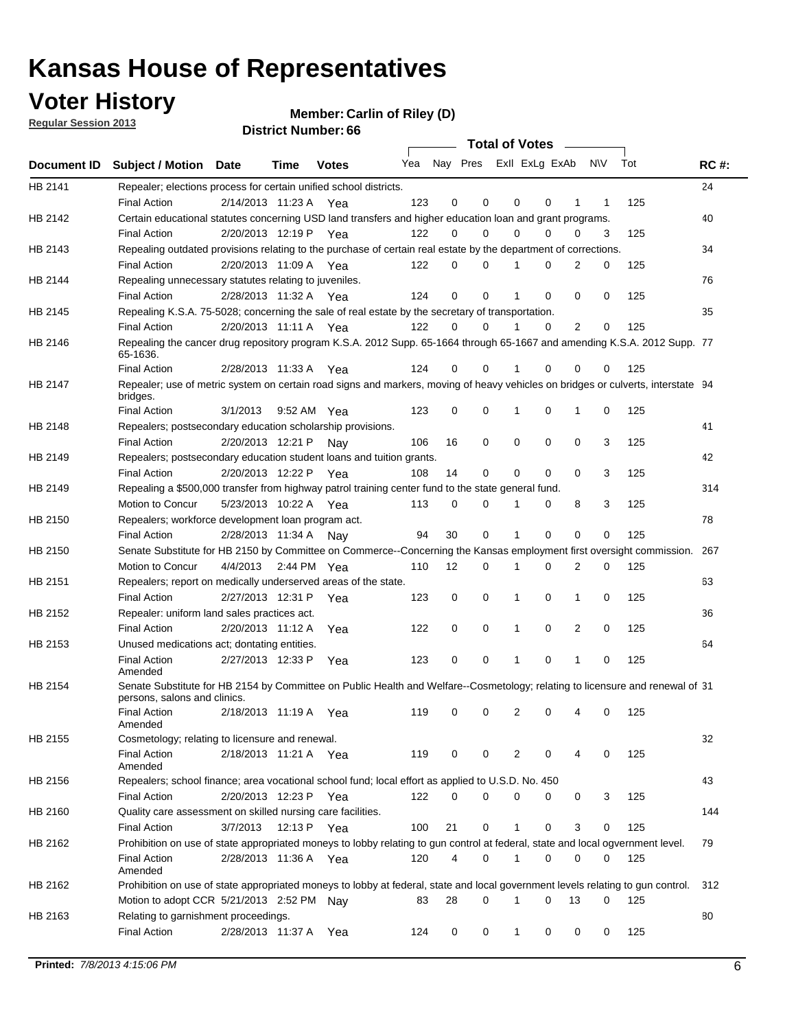## **Voter History**

**Member: Carlin of Riley (D)** 

**Regular Session 2013**

|         |                                                                                                                                              |          |                       |              |                             |    | <b>Total of Votes</b> |              |          | $\sim$      |     |     |             |
|---------|----------------------------------------------------------------------------------------------------------------------------------------------|----------|-----------------------|--------------|-----------------------------|----|-----------------------|--------------|----------|-------------|-----|-----|-------------|
|         | Document ID Subject / Motion Date                                                                                                            |          | Time                  | <b>Votes</b> | Yea Nay Pres ExII ExLg ExAb |    |                       |              |          |             | N\V | Tot | <b>RC#:</b> |
| HB 2141 | Repealer; elections process for certain unified school districts.                                                                            |          |                       |              |                             |    |                       |              |          |             |     |     | 24          |
|         | <b>Final Action</b>                                                                                                                          |          | 2/14/2013 11:23 A     | Yea          | 123                         | 0  | 0                     | 0            | 0        | 1           | 1   | 125 |             |
| HB 2142 | Certain educational statutes concerning USD land transfers and higher education loan and grant programs.                                     |          |                       |              |                             |    |                       |              |          |             |     |     | 40          |
|         | <b>Final Action</b>                                                                                                                          |          | 2/20/2013 12:19 P     | Yea          | 122                         | 0  | 0                     | 0            | 0        | 0           | 3   | 125 |             |
| HB 2143 | Repealing outdated provisions relating to the purchase of certain real estate by the department of corrections.                              |          |                       |              |                             |    |                       |              |          |             |     |     | 34          |
|         | <b>Final Action</b>                                                                                                                          |          | 2/20/2013 11:09 A Yea |              | 122                         | 0  | 0                     |              | 0        | 2           | 0   | 125 |             |
| HB 2144 | Repealing unnecessary statutes relating to juveniles.                                                                                        |          |                       |              |                             |    |                       |              |          |             |     |     | 76          |
|         | <b>Final Action</b>                                                                                                                          |          | 2/28/2013 11:32 A Yea |              | 124                         | 0  | 0                     |              | 0        | 0           | 0   | 125 |             |
| HB 2145 | Repealing K.S.A. 75-5028; concerning the sale of real estate by the secretary of transportation.                                             |          |                       |              |                             |    |                       |              |          |             |     |     | 35          |
|         | <b>Final Action</b>                                                                                                                          |          | 2/20/2013 11:11 A Yea |              | 122                         | 0  | 0                     |              | 0        | 2           | 0   | 125 |             |
| HB 2146 | Repealing the cancer drug repository program K.S.A. 2012 Supp. 65-1664 through 65-1667 and amending K.S.A. 2012 Supp. 77<br>65-1636.         |          |                       |              |                             |    |                       |              |          |             |     |     |             |
|         | <b>Final Action</b>                                                                                                                          |          | 2/28/2013 11:33 A     | Yea          | 124                         | 0  | 0                     |              | 0        | 0           | 0   | 125 |             |
| HB 2147 | Repealer; use of metric system on certain road signs and markers, moving of heavy vehicles on bridges or culverts, interstate 94<br>bridges. |          |                       |              |                             |    |                       |              |          |             |     |     |             |
|         | <b>Final Action</b>                                                                                                                          | 3/1/2013 |                       | 9:52 AM Yea  | 123                         | 0  | 0                     | 1            | 0        | 1           | 0   | 125 |             |
| HB 2148 | Repealers; postsecondary education scholarship provisions.                                                                                   |          |                       |              |                             |    |                       |              |          |             |     |     | 41          |
|         | <b>Final Action</b>                                                                                                                          |          | 2/20/2013 12:21 P     | Nav          | 106                         | 16 | 0                     | 0            | 0        | 0           | 3   | 125 |             |
| HB 2149 | Repealers; postsecondary education student loans and tuition grants.                                                                         |          |                       |              |                             |    |                       |              |          |             |     |     | 42          |
|         | <b>Final Action</b>                                                                                                                          |          | 2/20/2013 12:22 P     | Yea          | 108                         | 14 | 0                     | 0            | 0        | $\Omega$    | 3   | 125 |             |
| HB 2149 | Repealing a \$500,000 transfer from highway patrol training center fund to the state general fund.                                           |          |                       |              |                             |    |                       |              |          |             |     |     | 314         |
|         | Motion to Concur                                                                                                                             |          | 5/23/2013 10:22 A Yea |              | 113                         | 0  | 0                     |              | 0        | 8           | 3   | 125 |             |
| HB 2150 | Repealers; workforce development loan program act.                                                                                           |          |                       |              |                             |    |                       |              |          |             |     |     | 78          |
|         | <b>Final Action</b>                                                                                                                          |          | 2/28/2013 11:34 A     | Nay          | 94                          | 30 | 0                     | 1            | 0        | $\mathbf 0$ | 0   | 125 |             |
| HB 2150 | Senate Substitute for HB 2150 by Committee on Commerce--Concerning the Kansas employment first oversight commission.                         |          |                       |              |                             |    |                       |              |          |             |     |     | 267         |
|         | Motion to Concur                                                                                                                             | 4/4/2013 |                       | 2:44 PM Yea  | 110                         | 12 | 0                     | 1            | 0        | 2           | 0   | 125 |             |
| HB 2151 | Repealers; report on medically underserved areas of the state.                                                                               |          |                       |              |                             |    |                       |              |          |             |     |     | 63          |
|         | <b>Final Action</b>                                                                                                                          |          | 2/27/2013 12:31 P     | Yea          | 123                         | 0  | 0                     | 1            | 0        | 1           | 0   | 125 |             |
| HB 2152 | Repealer: uniform land sales practices act.                                                                                                  |          |                       |              |                             |    |                       |              |          |             |     |     | 36          |
|         | <b>Final Action</b>                                                                                                                          |          | 2/20/2013 11:12 A     | Yea          | 122                         | 0  | 0                     | 1            | 0        | 2           | 0   | 125 |             |
| HB 2153 | Unused medications act; dontating entities.                                                                                                  |          |                       |              |                             |    |                       |              |          |             |     |     | 64          |
|         | <b>Final Action</b><br>Amended                                                                                                               |          | 2/27/2013 12:33 P     | Yea          | 123                         | 0  | 0                     |              | 0        | 1           | 0   | 125 |             |
| HB 2154 | Senate Substitute for HB 2154 by Committee on Public Health and Welfare--Cosmetology; relating to licensure and renewal of 31                |          |                       |              |                             |    |                       |              |          |             |     |     |             |
|         | persons, salons and clinics.                                                                                                                 |          |                       |              |                             |    |                       |              |          |             |     |     |             |
|         | <b>Final Action</b><br>Amended                                                                                                               |          | 2/18/2013 11:19 A     | Yea          | 119                         | 0  | 0                     | 2            | 0        | 4           | 0   | 125 |             |
| HB 2155 | Cosmetology; relating to licensure and renewal.                                                                                              |          |                       |              |                             |    |                       |              |          |             |     |     | 32          |
|         | <b>Final Action</b><br>Amended                                                                                                               |          | 2/18/2013 11:21 A Yea |              | 119                         | 0  | 0                     | 2            | 0        | 4           | 0   | 125 |             |
| HB 2156 | Repealers; school finance; area vocational school fund; local effort as applied to U.S.D. No. 450                                            |          |                       |              |                             |    |                       |              |          |             |     |     | 43          |
|         | <b>Final Action</b>                                                                                                                          |          | 2/20/2013 12:23 P     | Yea          | 122                         | 0  | 0                     | 0            | 0        | 0           | 3   | 125 |             |
| HB 2160 | Quality care assessment on skilled nursing care facilities.                                                                                  |          |                       |              |                             |    |                       |              |          |             |     |     | 144         |
|         | <b>Final Action</b>                                                                                                                          | 3/7/2013 | 12:13 P               | Yea          | 100                         | 21 | 0                     | $\mathbf{1}$ | 0        | 3           | 0   | 125 |             |
| HB 2162 | Prohibition on use of state appropriated moneys to lobby relating to gun control at federal, state and local ogvernment level.               |          |                       |              |                             |    |                       |              |          |             |     |     | 79          |
|         | <b>Final Action</b>                                                                                                                          |          | 2/28/2013 11:36 A Yea |              | 120                         | 4  | 0                     | 1            | 0        | 0           | 0   | 125 |             |
|         | Amended                                                                                                                                      |          |                       |              |                             |    |                       |              |          |             |     |     |             |
| HB 2162 | Prohibition on use of state appropriated moneys to lobby at federal, state and local government levels relating to gun control.              |          |                       |              |                             |    |                       |              |          |             |     |     | 312         |
|         | Motion to adopt CCR 5/21/2013 2:52 PM Nay                                                                                                    |          |                       |              | 83                          | 28 | 0                     | 1            | $\Omega$ | 13          | 0   | 125 |             |
| HB 2163 | Relating to garnishment proceedings.                                                                                                         |          |                       |              |                             |    |                       |              |          |             |     |     | 80          |
|         | <b>Final Action</b>                                                                                                                          |          | 2/28/2013 11:37 A     | Yea          | 124                         | 0  | 0                     | $\mathbf{1}$ | 0        | 0           | 0   | 125 |             |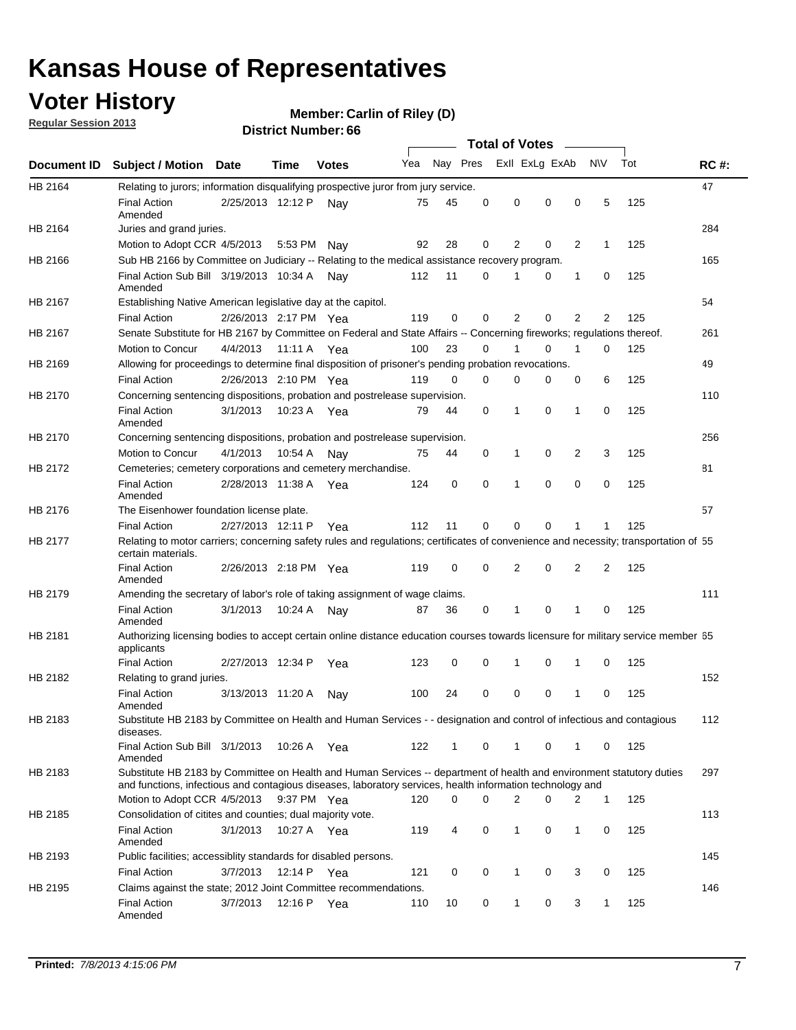### **Voter History**

**Member: Carlin of Riley (D)** 

**Regular Session 2013**

|             |                                                                                                                                                                                                                                    |                       |             |              |     |          | <b>Total of Votes</b> |                |          |                |              |     |             |
|-------------|------------------------------------------------------------------------------------------------------------------------------------------------------------------------------------------------------------------------------------|-----------------------|-------------|--------------|-----|----------|-----------------------|----------------|----------|----------------|--------------|-----|-------------|
| Document ID | <b>Subject / Motion Date</b>                                                                                                                                                                                                       |                       | Time        | <b>Votes</b> | Yea | Nay Pres |                       | Exll ExLg ExAb |          |                | <b>NV</b>    | Tot | <b>RC#:</b> |
| HB 2164     | Relating to jurors; information disqualifying prospective juror from jury service.                                                                                                                                                 |                       |             |              |     |          |                       |                |          |                |              |     | 47          |
|             | <b>Final Action</b><br>Amended                                                                                                                                                                                                     | 2/25/2013 12:12 P     |             | Nav          | 75  | 45       | 0                     | 0              | 0        | 0              | 5            | 125 |             |
| HB 2164     | Juries and grand juries.                                                                                                                                                                                                           |                       |             |              |     |          |                       |                |          |                |              |     | 284         |
|             | Motion to Adopt CCR 4/5/2013                                                                                                                                                                                                       |                       | 5:53 PM Nay |              | 92  | 28       | 0                     | 2              | 0        | 2              | 1            | 125 |             |
| HB 2166     | Sub HB 2166 by Committee on Judiciary -- Relating to the medical assistance recovery program.                                                                                                                                      |                       |             |              |     |          |                       |                |          |                |              |     | 165         |
|             | Final Action Sub Bill 3/19/2013 10:34 A Nay<br>Amended                                                                                                                                                                             |                       |             |              | 112 | 11       | 0                     |                | 0        | 1              | 0            | 125 |             |
| HB 2167     | Establishing Native American legislative day at the capitol.                                                                                                                                                                       |                       |             |              |     |          |                       |                |          |                |              |     | 54          |
|             | <b>Final Action</b>                                                                                                                                                                                                                | 2/26/2013 2:17 PM Yea |             |              | 119 | 0        | 0                     | $\overline{2}$ | 0        | $\overline{2}$ | 2            | 125 |             |
| HB 2167     | Senate Substitute for HB 2167 by Committee on Federal and State Affairs -- Concerning fireworks; regulations thereof.                                                                                                              |                       |             |              |     |          |                       |                |          |                |              |     | 261         |
|             | Motion to Concur                                                                                                                                                                                                                   | 4/4/2013              | 11:11 A Yea |              | 100 | 23       | 0                     |                | 0        | 1              | 0            | 125 |             |
| HB 2169     | Allowing for proceedings to determine final disposition of prisoner's pending probation revocations.                                                                                                                               |                       |             |              |     |          |                       |                |          |                |              |     | 49          |
|             | <b>Final Action</b>                                                                                                                                                                                                                | 2/26/2013 2:10 PM Yea |             |              | 119 | 0        | 0                     | 0              | 0        | 0              | 6            | 125 |             |
| HB 2170     | Concerning sentencing dispositions, probation and postrelease supervision.                                                                                                                                                         |                       |             |              |     |          |                       |                |          |                |              |     | 110         |
|             | <b>Final Action</b><br>Amended                                                                                                                                                                                                     | 3/1/2013              | 10:23 A Yea |              | 79  | 44       | $\Omega$              | 1              | 0        | $\mathbf 1$    | 0            | 125 |             |
| HB 2170     | Concerning sentencing dispositions, probation and postrelease supervision.                                                                                                                                                         |                       |             |              |     |          |                       |                |          |                |              |     | 256         |
|             | Motion to Concur                                                                                                                                                                                                                   | 4/1/2013              | 10:54 A     | Nav          | 75  | 44       | 0                     | 1              | 0        | 2              | 3            | 125 |             |
| HB 2172     | Cemeteries; cemetery corporations and cemetery merchandise.                                                                                                                                                                        |                       |             |              |     |          |                       |                |          |                |              |     | 81          |
|             | <b>Final Action</b><br>Amended                                                                                                                                                                                                     | 2/28/2013 11:38 A     |             | Yea          | 124 | 0        | 0                     | 1              | 0        | 0              | 0            | 125 |             |
| HB 2176     | The Eisenhower foundation license plate.                                                                                                                                                                                           |                       |             |              |     |          |                       |                |          |                |              |     | 57          |
|             | <b>Final Action</b>                                                                                                                                                                                                                | 2/27/2013 12:11 P     |             | Yea          | 112 | 11       | 0                     | 0              | $\Omega$ |                | 1            | 125 |             |
| HB 2177     | Relating to motor carriers; concerning safety rules and regulations; certificates of convenience and necessity; transportation of 55<br>certain materials.                                                                         |                       |             |              |     |          |                       |                |          |                |              |     |             |
|             | <b>Final Action</b><br>Amended                                                                                                                                                                                                     | 2/26/2013 2:18 PM Yea |             |              | 119 | 0        | 0                     | 2              | 0        | $\overline{2}$ | 2            | 125 |             |
| HB 2179     | Amending the secretary of labor's role of taking assignment of wage claims.                                                                                                                                                        |                       |             |              |     |          |                       |                |          |                |              |     | 111         |
|             | <b>Final Action</b><br>Amended                                                                                                                                                                                                     | 3/1/2013              | 10:24 A     | Nav          | 87  | 36       | 0                     | 1              | 0        | 1              | 0            | 125 |             |
| HB 2181     | Authorizing licensing bodies to accept certain online distance education courses towards licensure for military service member 55<br>applicants                                                                                    |                       |             |              |     |          |                       |                |          |                |              |     |             |
|             | <b>Final Action</b>                                                                                                                                                                                                                | 2/27/2013 12:34 P     |             | Yea          | 123 | 0        | 0                     | 1              | 0        | 1              | 0            | 125 |             |
| HB 2182     | Relating to grand juries.                                                                                                                                                                                                          |                       |             |              |     |          |                       |                |          |                |              |     | 152         |
|             | <b>Final Action</b><br>Amended                                                                                                                                                                                                     | 3/13/2013 11:20 A     |             | Nav          | 100 | 24       | 0                     | 0              | 0        | 1              | 0            | 125 |             |
| HB 2183     | Substitute HB 2183 by Committee on Health and Human Services - - designation and control of infectious and contagious<br>diseases.                                                                                                 |                       |             |              |     |          |                       |                |          |                |              |     | 112         |
|             | Final Action Sub Bill 3/1/2013<br>Amended                                                                                                                                                                                          |                       | 10:26 A Yea |              | 122 | 1        | 0                     | $\mathbf{1}$   | 0        | $\mathbf 1$    | 0            | 125 |             |
| HB 2183     | Substitute HB 2183 by Committee on Health and Human Services -- department of health and environment statutory duties<br>and functions, infectious and contagious diseases, laboratory services, health information technology and |                       |             |              |     |          |                       |                |          |                |              |     | 297         |
|             | Motion to Adopt CCR 4/5/2013                                                                                                                                                                                                       |                       | 9:37 PM Yea |              | 120 | 0        | 0                     | 2              | 0        | 2              | $\mathbf{1}$ | 125 |             |
| HB 2185     | Consolidation of citites and counties; dual majority vote.                                                                                                                                                                         |                       |             |              |     |          |                       |                |          |                |              |     | 113         |
|             | <b>Final Action</b><br>Amended                                                                                                                                                                                                     | 3/1/2013              | 10:27 A Yea |              | 119 | 4        | 0                     | $\mathbf{1}$   | 0        | $\mathbf{1}$   | 0            | 125 |             |
| HB 2193     | Public facilities; accessiblity standards for disabled persons.                                                                                                                                                                    |                       |             |              |     |          |                       |                |          |                |              |     | 145         |
|             | <b>Final Action</b>                                                                                                                                                                                                                | 3/7/2013              | 12:14 P     | Yea          | 121 | 0        | 0                     | 1              | 0        | 3              | 0            | 125 |             |
| HB 2195     | Claims against the state; 2012 Joint Committee recommendations.                                                                                                                                                                    |                       |             |              |     |          |                       |                |          |                |              |     | 146         |
|             | <b>Final Action</b><br>Amended                                                                                                                                                                                                     | 3/7/2013              | 12:16 P Yea |              | 110 | 10       | 0                     | 1              | 0        | 3              | 1            | 125 |             |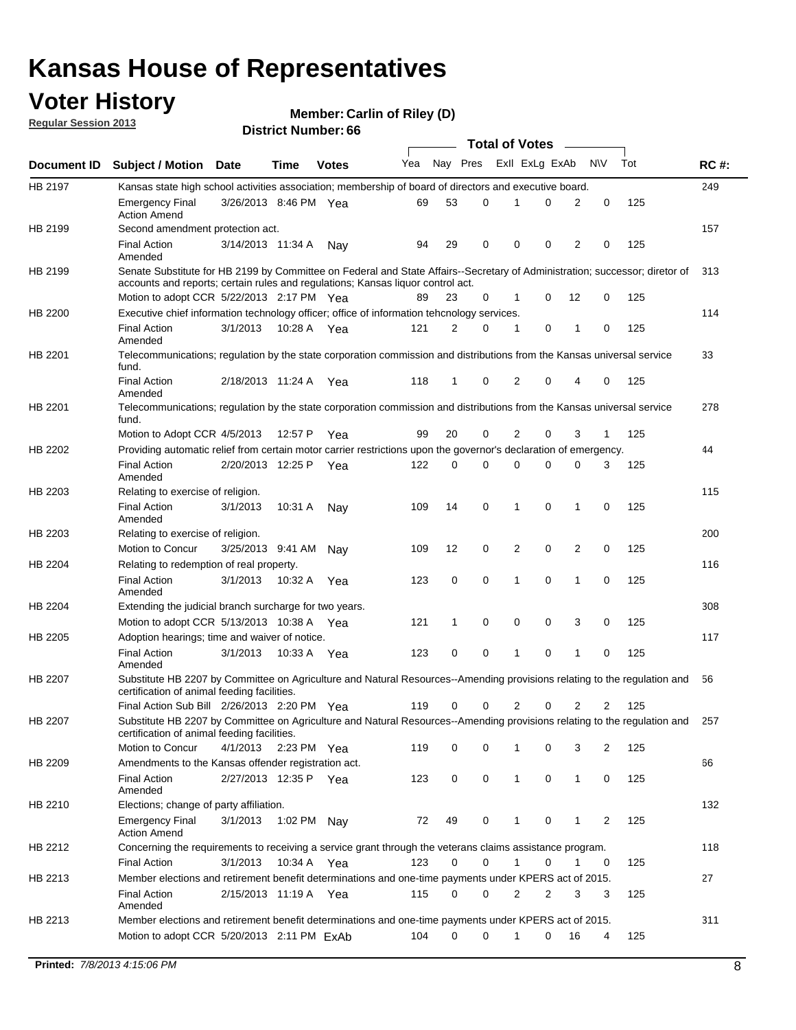### **Voter History**

**Member: Carlin of Riley (D)** 

**Regular Session 2013**

|                    |                                                                                                                                                                                                                |                       | טט . וסעווואדו או ווסוע |              |     |              | <b>Total of Votes</b> |                |   |              |           |     |     |
|--------------------|----------------------------------------------------------------------------------------------------------------------------------------------------------------------------------------------------------------|-----------------------|-------------------------|--------------|-----|--------------|-----------------------|----------------|---|--------------|-----------|-----|-----|
| <b>Document ID</b> | <b>Subject / Motion Date</b>                                                                                                                                                                                   |                       | <b>Time</b>             | <b>Votes</b> | Yea | Nay Pres     |                       | Exll ExLg ExAb |   |              | <b>NV</b> | Tot | RC# |
| HB 2197            | Kansas state high school activities association; membership of board of directors and executive board.                                                                                                         |                       |                         |              |     |              |                       |                |   |              |           |     | 249 |
|                    | <b>Emergency Final</b><br><b>Action Amend</b>                                                                                                                                                                  | 3/26/2013 8:46 PM Yea |                         |              | 69  | 53           | 0                     | 1              | 0 | 2            | 0         | 125 |     |
| HB 2199            | Second amendment protection act.                                                                                                                                                                               |                       |                         |              |     |              |                       |                |   |              |           |     | 157 |
|                    | <b>Final Action</b><br>Amended                                                                                                                                                                                 | 3/14/2013 11:34 A     |                         | Nay          | 94  | 29           | 0                     | 0              | 0 | 2            | 0         | 125 |     |
| HB 2199            | Senate Substitute for HB 2199 by Committee on Federal and State Affairs--Secretary of Administration; successor; diretor of<br>accounts and reports; certain rules and regulations; Kansas liquor control act. |                       |                         |              |     |              |                       |                |   |              |           |     | 313 |
|                    | Motion to adopt CCR 5/22/2013 2:17 PM Yea                                                                                                                                                                      |                       |                         |              | 89  | 23           | 0                     | $\mathbf 1$    | 0 | 12           | 0         | 125 |     |
| HB 2200            | Executive chief information technology officer; office of information tehcnology services.                                                                                                                     |                       |                         |              |     |              |                       |                |   |              |           |     | 114 |
|                    | <b>Final Action</b><br>Amended                                                                                                                                                                                 | 3/1/2013              | 10:28 A Yea             |              | 121 | 2            | 0                     | 1              | 0 | 1            | 0         | 125 |     |
| HB 2201            | Telecommunications; regulation by the state corporation commission and distributions from the Kansas universal service<br>fund.                                                                                |                       |                         |              |     |              |                       |                |   |              |           |     | 33  |
|                    | <b>Final Action</b><br>Amended                                                                                                                                                                                 | 2/18/2013 11:24 A     |                         | Yea          | 118 | 1            | 0                     | 2              | 0 | 4            | 0         | 125 |     |
| HB 2201            | Telecommunications; regulation by the state corporation commission and distributions from the Kansas universal service<br>fund.                                                                                |                       |                         |              |     |              |                       |                |   |              |           |     | 278 |
|                    | Motion to Adopt CCR 4/5/2013                                                                                                                                                                                   |                       | 12:57 P                 | Yea          | 99  | 20           | 0                     | 2              | 0 | 3            | 1         | 125 |     |
| HB 2202            | Providing automatic relief from certain motor carrier restrictions upon the governor's declaration of emergency.                                                                                               |                       |                         |              |     |              |                       |                |   |              |           |     | 44  |
|                    | <b>Final Action</b><br>Amended                                                                                                                                                                                 | 2/20/2013 12:25 P     |                         | Yea          | 122 | 0            | 0                     | $\Omega$       | 0 | 0            | 3         | 125 |     |
| HB 2203            | Relating to exercise of religion.                                                                                                                                                                              |                       |                         |              |     |              |                       |                |   |              |           |     | 115 |
|                    | <b>Final Action</b><br>Amended                                                                                                                                                                                 | 3/1/2013              | 10:31 A                 | Nay          | 109 | 14           | 0                     | 1              | 0 | 1            | 0         | 125 |     |
| HB 2203            | Relating to exercise of religion.                                                                                                                                                                              |                       |                         |              |     |              |                       |                |   |              |           |     | 200 |
|                    | Motion to Concur                                                                                                                                                                                               | 3/25/2013 9:41 AM     |                         | Nay          | 109 | 12           | 0                     | 2              | 0 | 2            | 0         | 125 |     |
| HB 2204            | Relating to redemption of real property.                                                                                                                                                                       |                       |                         |              |     |              |                       |                |   |              |           |     | 116 |
|                    | <b>Final Action</b><br>Amended                                                                                                                                                                                 | 3/1/2013              | 10:32 A                 | Yea          | 123 | 0            | 0                     | 1              | 0 | 1            | 0         | 125 |     |
| HB 2204            | Extending the judicial branch surcharge for two years.                                                                                                                                                         |                       |                         |              |     |              |                       |                |   |              |           |     | 308 |
|                    | Motion to adopt CCR $5/13/2013$ 10:38 A Yea                                                                                                                                                                    |                       |                         |              | 121 | $\mathbf{1}$ | 0                     | 0              | 0 | 3            | 0         | 125 |     |
| HB 2205            | Adoption hearings; time and waiver of notice.                                                                                                                                                                  |                       |                         |              |     |              |                       |                |   |              |           |     | 117 |
|                    | <b>Final Action</b><br>Amended                                                                                                                                                                                 | 3/1/2013              | 10:33 A Yea             |              | 123 | 0            | 0                     | 1              | 0 | 1            | 0         | 125 |     |
| HB 2207            | Substitute HB 2207 by Committee on Agriculture and Natural Resources--Amending provisions relating to the regulation and<br>certification of animal feeding facilities.                                        |                       |                         |              |     |              |                       |                |   |              |           |     | 56  |
|                    | Final Action Sub Bill 2/26/2013 2:20 PM Yea                                                                                                                                                                    |                       |                         |              | 119 | 0            | 0                     | 2              | 0 | 2            | 2         | 125 |     |
| HB 2207            | Substitute HB 2207 by Committee on Agriculture and Natural Resources--Amending provisions relating to the regulation and<br>certification of animal feeding facilities.                                        |                       |                         |              |     |              |                       |                |   |              |           |     | 257 |
|                    | Motion to Concur                                                                                                                                                                                               | 4/1/2013 2:23 PM Yea  |                         |              | 119 | 0            | 0                     | 1              | 0 | 3            | 2         | 125 |     |
| HB 2209            | Amendments to the Kansas offender registration act.                                                                                                                                                            |                       |                         |              |     |              |                       |                |   |              |           |     | 66  |
|                    | <b>Final Action</b><br>Amended                                                                                                                                                                                 | 2/27/2013 12:35 P     |                         | Yea          | 123 | 0            | 0                     | 1              | 0 | $\mathbf{1}$ | 0         | 125 |     |
| HB 2210            | Elections; change of party affiliation.                                                                                                                                                                        |                       |                         |              |     |              |                       |                |   |              |           |     | 132 |
|                    | <b>Emergency Final</b><br><b>Action Amend</b>                                                                                                                                                                  | 3/1/2013              | 1:02 PM Nay             |              | 72  | 49           | 0                     | 1              | 0 | 1            | 2         | 125 |     |
| HB 2212            | Concerning the requirements to receiving a service grant through the veterans claims assistance program.                                                                                                       |                       |                         |              |     |              |                       |                |   |              |           |     | 118 |
|                    | <b>Final Action</b>                                                                                                                                                                                            | 3/1/2013              | 10:34 A                 | Yea          | 123 | 0            | 0                     | 1              | 0 | 1            | 0         | 125 |     |
| HB 2213            | Member elections and retirement benefit determinations and one-time payments under KPERS act of 2015.                                                                                                          |                       |                         |              |     |              |                       |                |   |              |           |     | 27  |
|                    | <b>Final Action</b>                                                                                                                                                                                            | 2/15/2013 11:19 A Yea |                         |              | 115 | 0            | 0                     | 2              | 2 | 3            | 3         | 125 |     |
|                    | Amended                                                                                                                                                                                                        |                       |                         |              |     |              |                       |                |   |              |           |     | 311 |
| HB 2213            | Member elections and retirement benefit determinations and one-time payments under KPERS act of 2015.<br>Motion to adopt CCR 5/20/2013 2:11 PM ExAb                                                            |                       |                         |              | 104 | 0            | 0                     | 1              | 0 | 16           | 4         | 125 |     |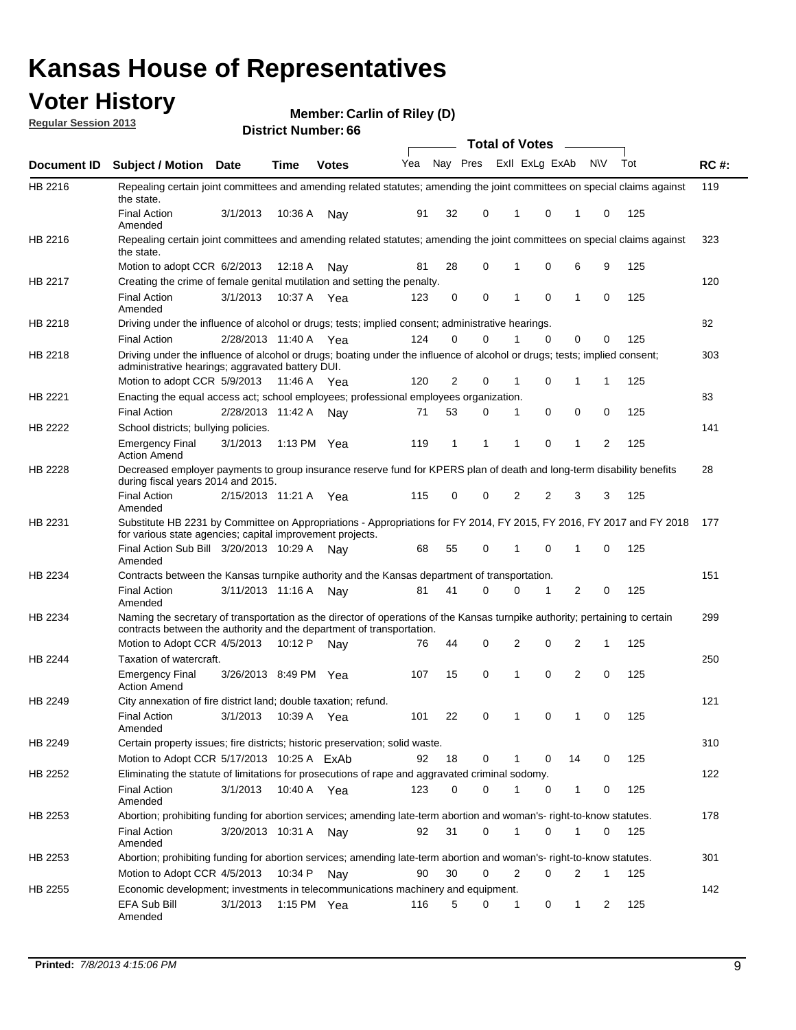### **Voter History**

**Member: Carlin of Riley (D)** 

**Regular Session 2013**

|                |                                                                                                                                                                                                               |                       |         |               |     |          |          |   | <b>Total of Votes</b>        |                |              |     |             |
|----------------|---------------------------------------------------------------------------------------------------------------------------------------------------------------------------------------------------------------|-----------------------|---------|---------------|-----|----------|----------|---|------------------------------|----------------|--------------|-----|-------------|
| Document ID    | <b>Subject / Motion Date</b>                                                                                                                                                                                  |                       | Time    | <b>Votes</b>  | Yea |          |          |   | Nay Pres Exll ExLg ExAb      |                | N\V          | Tot | <b>RC#:</b> |
| HB 2216        | Repealing certain joint committees and amending related statutes; amending the joint committees on special claims against<br>the state.                                                                       |                       |         |               |     |          |          |   |                              |                |              |     | 119         |
|                | <b>Final Action</b><br>Amended                                                                                                                                                                                | 3/1/2013              | 10:36 A | Nay           | 91  | 32       | 0        | 1 | 0                            | 1              | 0            | 125 |             |
| HB 2216        | Repealing certain joint committees and amending related statutes; amending the joint committees on special claims against<br>the state.                                                                       |                       |         |               |     |          |          |   |                              |                |              |     | 323         |
|                | Motion to adopt CCR 6/2/2013                                                                                                                                                                                  |                       | 12:18 A | Nav           | 81  | 28       | 0        | 1 | 0                            | 6              | 9            | 125 |             |
| HB 2217        | Creating the crime of female genital mutilation and setting the penalty.                                                                                                                                      |                       |         |               |     |          |          |   |                              |                |              |     | 120         |
|                | <b>Final Action</b><br>Amended                                                                                                                                                                                | 3/1/2013              | 10:37 A | Yea           | 123 | 0        | 0        | 1 | 0                            | 1              | 0            | 125 |             |
| HB 2218        | Driving under the influence of alcohol or drugs; tests; implied consent; administrative hearings.                                                                                                             |                       |         |               |     |          |          |   |                              |                |              |     | 82          |
|                | <b>Final Action</b>                                                                                                                                                                                           | 2/28/2013 11:40 A Yea |         |               | 124 | $\Omega$ | $\Omega$ |   | 0                            | 0              | 0            | 125 |             |
| HB 2218        | Driving under the influence of alcohol or drugs; boating under the influence of alcohol or drugs; tests; implied consent;<br>administrative hearings; aggravated battery DUI.<br>Motion to adopt CCR 5/9/2013 |                       | 11:46 A | Yea           | 120 | 2        | 0        | 1 | 0                            | 1              | 1            | 125 | 303         |
| HB 2221        | Enacting the equal access act; school employees; professional employees organization.                                                                                                                         |                       |         |               |     |          |          |   |                              |                |              |     | 83          |
|                | <b>Final Action</b>                                                                                                                                                                                           | 2/28/2013 11:42 A     |         |               | 71  | 53       | 0        | 1 | 0                            | 0              | 0            | 125 |             |
| HB 2222        | School districts; bullying policies.                                                                                                                                                                          |                       |         | Nav           |     |          |          |   |                              |                |              |     | 141         |
|                | <b>Emergency Final</b><br><b>Action Amend</b>                                                                                                                                                                 | 3/1/2013              |         | 1:13 PM $Yea$ | 119 | 1        | 1        | 1 | 0                            | 1              | 2            | 125 |             |
| HB 2228        | Decreased employer payments to group insurance reserve fund for KPERS plan of death and long-term disability benefits<br>during fiscal years 2014 and 2015.                                                   |                       |         |               |     |          |          |   |                              |                |              |     | 28          |
|                | <b>Final Action</b><br>Amended                                                                                                                                                                                | 2/15/2013 11:21 A Yea |         |               | 115 | 0        | 0        | 2 | 2                            | 3              | 3            | 125 |             |
| HB 2231        | Substitute HB 2231 by Committee on Appropriations - Appropriations for FY 2014, FY 2015, FY 2016, FY 2017 and FY 2018<br>for various state agencies; capital improvement projects.                            |                       |         |               |     |          |          |   |                              |                |              |     | 177         |
|                | Final Action Sub Bill 3/20/2013 10:29 A Nay<br>Amended                                                                                                                                                        |                       |         |               | 68  | 55       | 0        | 1 | 0                            | 1              | 0            | 125 |             |
| HB 2234        | Contracts between the Kansas turnpike authority and the Kansas department of transportation.                                                                                                                  |                       |         |               |     |          |          |   |                              |                |              |     | 151         |
|                | <b>Final Action</b><br>Amended                                                                                                                                                                                | 3/11/2013 11:16 A     |         | Nav           | 81  | 41       | $\Omega$ | 0 | 1                            | 2              | 0            | 125 |             |
| HB 2234        | Naming the secretary of transportation as the director of operations of the Kansas turnpike authority; pertaining to certain<br>contracts between the authority and the department of transportation.         |                       |         |               |     |          |          |   |                              |                |              |     | 299         |
|                | Motion to Adopt CCR 4/5/2013                                                                                                                                                                                  |                       | 10:12 P | Nav           | 76  | 44       | 0        | 2 | 0                            | 2              | 1            | 125 |             |
| <b>HB 2244</b> | Taxation of watercraft.<br><b>Emergency Final</b>                                                                                                                                                             | 3/26/2013 8:49 PM Yea |         |               | 107 | 15       | 0        | 1 | 0                            | 2              | 0            | 125 | 250         |
| HB 2249        | <b>Action Amend</b><br>City annexation of fire district land; double taxation; refund.                                                                                                                        |                       |         |               |     |          |          |   |                              |                |              |     | 121         |
|                | Final Action<br>Amended                                                                                                                                                                                       | 3/1/2013 10:39 A Yea  |         |               | 101 | 22       | 0        |   | $\mathbf{0}$<br>$\mathbf{1}$ | $\overline{1}$ | 0            | 125 |             |
| HB 2249        | Certain property issues; fire districts; historic preservation; solid waste.                                                                                                                                  |                       |         |               |     |          |          |   |                              |                |              |     | 310         |
|                | Motion to Adopt CCR 5/17/2013 10:25 A FxAb                                                                                                                                                                    |                       |         |               | 92  | 18       | 0        | 1 | 0                            | 14             | 0            | 125 |             |
| HB 2252        | Eliminating the statute of limitations for prosecutions of rape and aggravated criminal sodomy.                                                                                                               |                       |         |               |     |          |          |   |                              |                |              |     | 122         |
|                | <b>Final Action</b><br>Amended                                                                                                                                                                                | 3/1/2013              |         | 10:40 A Yea   | 123 | 0        | 0        | 1 | 0                            | 1              | 0            | 125 |             |
| HB 2253        | Abortion; prohibiting funding for abortion services; amending late-term abortion and woman's- right-to-know statutes.                                                                                         |                       |         |               |     |          |          |   |                              |                |              |     | 178         |
|                | <b>Final Action</b><br>Amended                                                                                                                                                                                | 3/20/2013 10:31 A Nay |         |               | 92  | 31       | 0        | 1 | 0                            | 1              | 0            | 125 |             |
| HB 2253        | Abortion; prohibiting funding for abortion services; amending late-term abortion and woman's- right-to-know statutes.                                                                                         |                       |         |               |     |          |          |   |                              |                |              |     | 301         |
|                | Motion to Adopt CCR 4/5/2013                                                                                                                                                                                  |                       | 10:34 P | Nav           | 90  | 30       | 0        | 2 | 0                            | 2              | $\mathbf{1}$ | 125 |             |
| HB 2255        | Economic development; investments in telecommunications machinery and equipment.                                                                                                                              |                       |         |               |     |          |          |   |                              |                |              |     | 142         |
|                | EFA Sub Bill<br>Amended                                                                                                                                                                                       | 3/1/2013              |         | 1:15 PM Yea   | 116 | 5        | 0        | 1 | 0                            | 1              | 2            | 125 |             |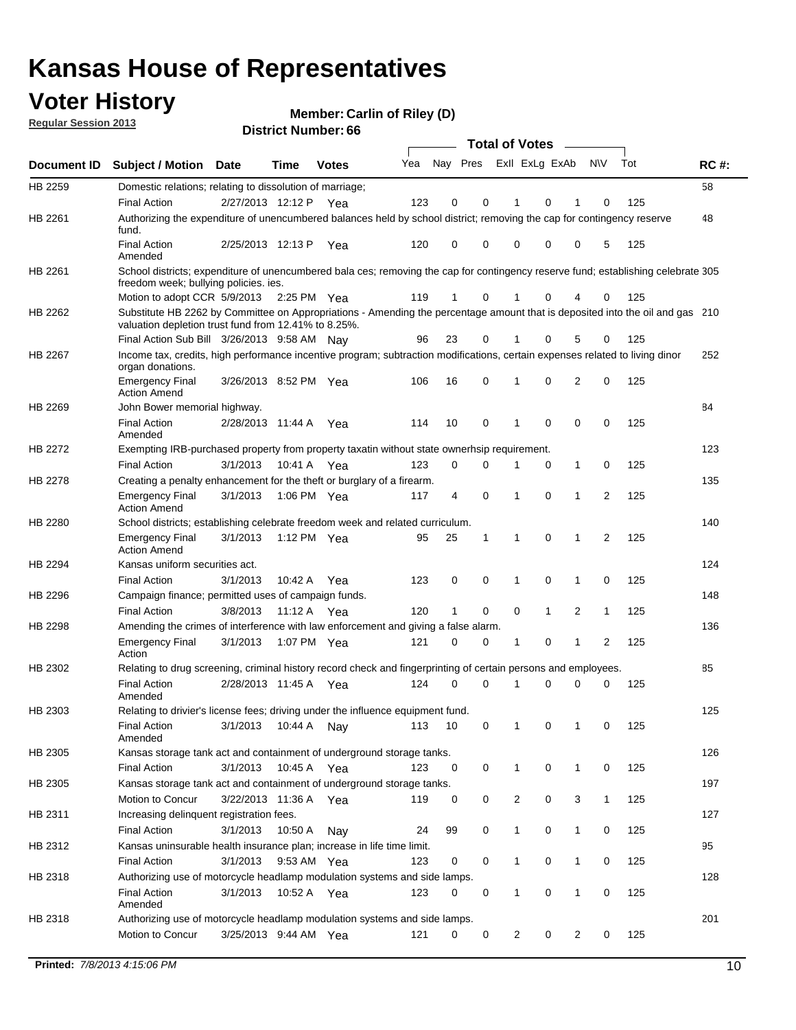### **Voter History**

**Member: Carlin of Riley (D)** 

**Regular Session 2013**

|                    |                                                                                                                                                                                       |                       |             |              |     |          |   | <b>Total of Votes</b> |   | $\sim$       |           |     |             |
|--------------------|---------------------------------------------------------------------------------------------------------------------------------------------------------------------------------------|-----------------------|-------------|--------------|-----|----------|---|-----------------------|---|--------------|-----------|-----|-------------|
| <b>Document ID</b> | <b>Subject / Motion Date</b>                                                                                                                                                          |                       | Time        | <b>Votes</b> | Yea | Nay Pres |   | Exll ExLg ExAb        |   |              | <b>NV</b> | Tot | <b>RC#:</b> |
| HB 2259            | Domestic relations; relating to dissolution of marriage;                                                                                                                              |                       |             |              |     |          |   |                       |   |              |           |     | 58          |
|                    | <b>Final Action</b>                                                                                                                                                                   | 2/27/2013 12:12 P     |             | Yea          | 123 | 0        | 0 | 1                     | 0 | 1            | 0         | 125 |             |
| HB 2261            | Authorizing the expenditure of unencumbered balances held by school district; removing the cap for contingency reserve<br>fund.                                                       |                       |             |              |     |          |   |                       |   |              |           |     | 48          |
|                    | <b>Final Action</b><br>Amended                                                                                                                                                        | 2/25/2013 12:13 P     |             | Yea          | 120 | 0        | 0 | 0                     | 0 | 0            | 5         | 125 |             |
| HB 2261            | School districts; expenditure of unencumbered bala ces; removing the cap for contingency reserve fund; establishing celebrate 305<br>freedom week; bullying policies. ies.            |                       |             |              |     |          |   |                       |   |              |           |     |             |
|                    | Motion to adopt CCR 5/9/2013                                                                                                                                                          |                       |             | 2:25 PM Yea  | 119 | 1        | 0 | 1                     | 0 | 4            | 0         | 125 |             |
| HB 2262            | Substitute HB 2262 by Committee on Appropriations - Amending the percentage amount that is deposited into the oil and gas 210<br>valuation depletion trust fund from 12.41% to 8.25%. |                       |             |              |     |          |   |                       |   |              |           |     |             |
|                    | Final Action Sub Bill 3/26/2013 9:58 AM Nay                                                                                                                                           |                       |             |              | 96  | 23       | 0 |                       | 0 | 5            | 0         | 125 |             |
| HB 2267            | Income tax, credits, high performance incentive program; subtraction modifications, certain expenses related to living dinor<br>organ donations.                                      |                       |             |              |     |          |   |                       |   |              |           |     | 252         |
|                    | <b>Emergency Final</b><br><b>Action Amend</b>                                                                                                                                         | 3/26/2013 8:52 PM Yea |             |              | 106 | 16       | 0 | 1                     | 0 | 2            | 0         | 125 |             |
| HB 2269            | John Bower memorial highway.                                                                                                                                                          |                       |             |              |     |          |   |                       |   |              |           |     | 84          |
|                    | <b>Final Action</b><br>Amended                                                                                                                                                        | 2/28/2013 11:44 A     |             | Yea          | 114 | 10       | 0 | 1                     | 0 | 0            | 0         | 125 |             |
| HB 2272            | Exempting IRB-purchased property from property taxatin without state ownerhsip requirement.                                                                                           |                       |             |              |     |          |   |                       |   |              |           |     | 123         |
|                    | <b>Final Action</b>                                                                                                                                                                   | 3/1/2013              | 10:41 A     | Yea          | 123 | 0        | 0 | 1                     | 0 | $\mathbf{1}$ | 0         | 125 |             |
| HB 2278            | Creating a penalty enhancement for the theft or burglary of a firearm.                                                                                                                |                       |             |              |     |          |   |                       |   |              |           |     | 135         |
|                    | <b>Emergency Final</b><br><b>Action Amend</b>                                                                                                                                         | 3/1/2013              |             | 1:06 PM Yea  | 117 | 4        | 0 | 1                     | 0 | 1            | 2         | 125 |             |
| HB 2280            | School districts; establishing celebrate freedom week and related curriculum.                                                                                                         |                       |             |              |     |          |   |                       |   |              |           |     | 140         |
|                    | <b>Emergency Final</b><br><b>Action Amend</b>                                                                                                                                         | 3/1/2013              |             | 1:12 PM Yea  | 95  | 25       | 1 | 1                     | 0 | 1            | 2         | 125 |             |
| HB 2294            | Kansas uniform securities act.                                                                                                                                                        |                       |             |              |     |          |   |                       |   |              |           |     | 124         |
|                    | <b>Final Action</b>                                                                                                                                                                   | 3/1/2013              | 10:42 A     | Yea          | 123 | 0        | 0 | $\mathbf 1$           | 0 | 1            | 0         | 125 |             |
| HB 2296            | Campaign finance; permitted uses of campaign funds.                                                                                                                                   |                       |             |              |     |          |   |                       |   |              |           |     | 148         |
|                    | <b>Final Action</b>                                                                                                                                                                   | 3/8/2013              |             | 11:12 A Yea  | 120 | 1        | 0 | 0                     | 1 | 2            | 1         | 125 |             |
| HB 2298            | Amending the crimes of interference with law enforcement and giving a false alarm.                                                                                                    |                       |             |              |     |          |   |                       |   |              |           |     | 136         |
|                    | <b>Emergency Final</b><br>Action                                                                                                                                                      | 3/1/2013              | 1:07 PM Yea |              | 121 | 0        | 0 | 1                     | 0 | 1            | 2         | 125 |             |
| HB 2302            | Relating to drug screening, criminal history record check and fingerprinting of certain persons and employees.                                                                        |                       |             |              |     |          |   |                       |   |              |           |     | 85          |
|                    | <b>Final Action</b><br>Amended                                                                                                                                                        | 2/28/2013 11:45 A     |             | Yea          | 124 | 0        | 0 | 1                     | 0 | 0            | 0         | 125 |             |
| HB 2303            | Relating to drivier's license fees; driving under the influence equipment fund.                                                                                                       |                       |             |              |     |          |   |                       |   |              |           |     | 125         |
|                    | <b>Final Action</b><br>Amended                                                                                                                                                        | 3/1/2013              | 10:44 A     | Nay          | 113 | 10       | 0 | 1                     | 0 | 1            | 0         | 125 |             |
| HB 2305            | Kansas storage tank act and containment of underground storage tanks.                                                                                                                 |                       |             |              |     |          |   |                       |   |              |           |     | 126         |
|                    | <b>Final Action</b>                                                                                                                                                                   | 3/1/2013              | 10:45 A     | Yea          | 123 | 0        | 0 | 1                     | 0 | 1            | 0         | 125 |             |
| HB 2305            | Kansas storage tank act and containment of underground storage tanks.                                                                                                                 |                       |             |              |     |          |   |                       |   |              |           |     | 197         |
|                    | Motion to Concur                                                                                                                                                                      | 3/22/2013 11:36 A     |             | Yea          | 119 | 0        | 0 | $\overline{c}$        | 0 | 3            | 1         | 125 |             |
| HB 2311            | Increasing delinquent registration fees.                                                                                                                                              |                       |             |              |     |          |   |                       |   |              |           |     | 127         |
|                    | <b>Final Action</b>                                                                                                                                                                   | 3/1/2013              | 10:50 A     | Nav          | 24  | 99       | 0 | 1                     | 0 | 1            | 0         | 125 |             |
| HB 2312            | Kansas uninsurable health insurance plan; increase in life time limit.                                                                                                                |                       |             |              |     |          |   |                       |   |              |           |     | 95          |
|                    | <b>Final Action</b>                                                                                                                                                                   | 3/1/2013              |             | 9:53 AM Yea  | 123 | 0        | 0 | 1                     | 0 | 1            | 0         | 125 |             |
| HB 2318            | Authorizing use of motorcycle headlamp modulation systems and side lamps.                                                                                                             |                       |             |              |     |          |   |                       |   |              |           |     | 128         |
|                    | <b>Final Action</b><br>Amended                                                                                                                                                        | 3/1/2013              |             | 10:52 A Yea  | 123 | 0        | 0 | 1                     | 0 | 1            | 0         | 125 |             |
| HB 2318            | Authorizing use of motorcycle headlamp modulation systems and side lamps.                                                                                                             |                       |             |              |     |          |   |                       |   |              |           |     | 201         |
|                    | Motion to Concur                                                                                                                                                                      | 3/25/2013 9:44 AM Yea |             |              | 121 | 0        | 0 | 2                     | 0 | 2            | 0         | 125 |             |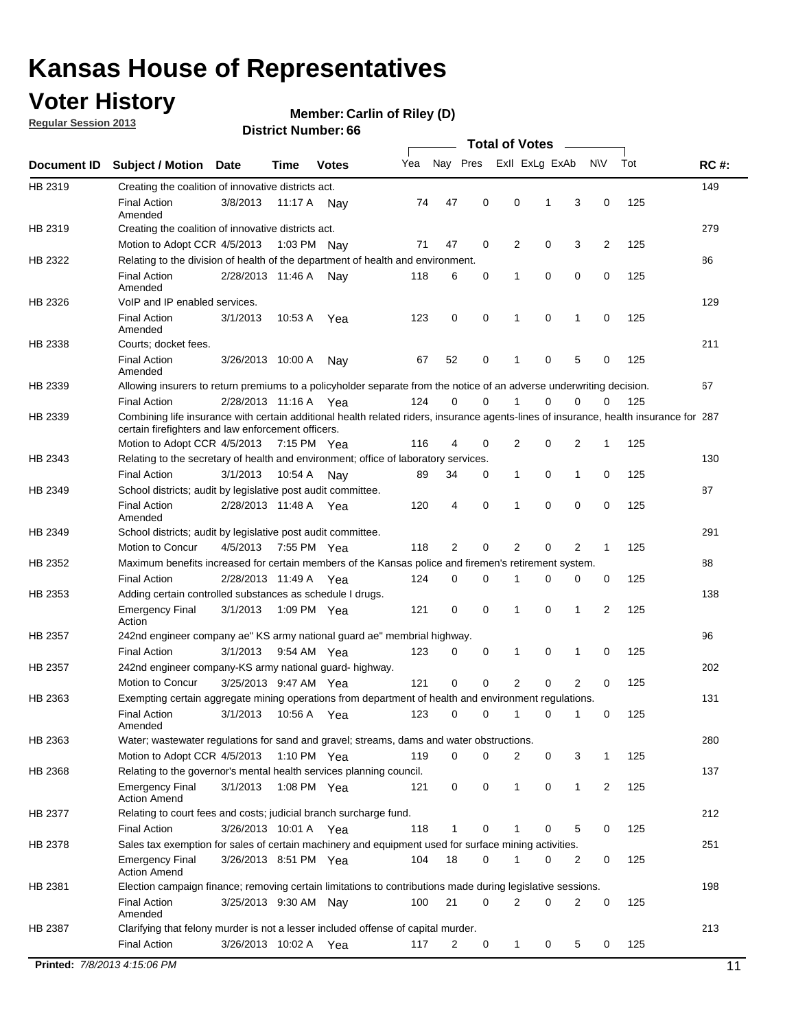### **Voter History**

**Member: Carlin of Riley (D)** 

**Regular Session 2013**

|             |                                                                                                                                                                                             |                       |             |               |     |             |             | <b>Total of Votes</b> |   |              |                |     |             |
|-------------|---------------------------------------------------------------------------------------------------------------------------------------------------------------------------------------------|-----------------------|-------------|---------------|-----|-------------|-------------|-----------------------|---|--------------|----------------|-----|-------------|
| Document ID | <b>Subject / Motion</b>                                                                                                                                                                     | <b>Date</b>           | Time        | <b>Votes</b>  | Yea | Nay Pres    |             | Exll ExLg ExAb        |   |              | <b>NV</b>      | Tot | <b>RC#:</b> |
| HB 2319     | Creating the coalition of innovative districts act.                                                                                                                                         |                       |             |               |     |             |             |                       |   |              |                |     | 149         |
|             | <b>Final Action</b><br>Amended                                                                                                                                                              | 3/8/2013              | 11:17 A     | Nav           | 74  | 47          | 0           | 0                     | 1 | 3            | 0              | 125 |             |
| HB 2319     | Creating the coalition of innovative districts act.                                                                                                                                         |                       |             |               |     |             |             |                       |   |              |                |     | 279         |
|             | Motion to Adopt CCR 4/5/2013                                                                                                                                                                |                       | 1:03 PM     | Nav           | 71  | 47          | 0           | 2                     | 0 | 3            | $\overline{2}$ | 125 |             |
| HB 2322     | Relating to the division of health of the department of health and environment.                                                                                                             |                       |             |               |     |             |             |                       |   |              |                |     | 86          |
|             | <b>Final Action</b><br>Amended                                                                                                                                                              | 2/28/2013 11:46 A     |             | Nay           | 118 | 6           | 0           | 1                     | 0 | 0            | 0              | 125 |             |
| HB 2326     | VoIP and IP enabled services.                                                                                                                                                               |                       |             |               |     |             |             |                       |   |              |                |     | 129         |
|             | <b>Final Action</b><br>Amended                                                                                                                                                              | 3/1/2013              | 10:53 A     | Yea           | 123 | 0           | 0           | 1                     | 0 | 1            | 0              | 125 |             |
| HB 2338     | Courts; docket fees.                                                                                                                                                                        |                       |             |               |     |             |             |                       |   |              |                |     | 211         |
|             | <b>Final Action</b><br>Amended                                                                                                                                                              | 3/26/2013 10:00 A     |             | Nav           | 67  | 52          | 0           | 1                     | 0 | 5            | 0              | 125 |             |
| HB 2339     | Allowing insurers to return premiums to a policyholder separate from the notice of an adverse underwriting decision.                                                                        |                       |             |               |     |             |             |                       |   |              |                |     | 67          |
|             | <b>Final Action</b>                                                                                                                                                                         | 2/28/2013 11:16 A Yea |             |               | 124 | 0           | 0           | 1                     | 0 | 0            | 0              | 125 |             |
| HB 2339     | Combining life insurance with certain additional health related riders, insurance agents-lines of insurance, health insurance for 287<br>certain firefighters and law enforcement officers. |                       |             |               |     |             |             |                       |   |              |                |     |             |
|             | Motion to Adopt CCR 4/5/2013 7:15 PM Yea                                                                                                                                                    |                       |             |               | 116 | 4           | 0           | 2                     | 0 | 2            | 1              | 125 |             |
| HB 2343     | Relating to the secretary of health and environment; office of laboratory services.                                                                                                         |                       |             |               |     |             |             |                       |   |              |                |     | 130         |
|             | <b>Final Action</b>                                                                                                                                                                         | 3/1/2013              | 10:54 A     | Nav           | 89  | 34          | 0           | 1                     | 0 | 1            | 0              | 125 |             |
| HB 2349     | School districts; audit by legislative post audit committee.                                                                                                                                |                       |             |               |     |             |             |                       |   |              |                |     | 87          |
|             | <b>Final Action</b><br>Amended                                                                                                                                                              | 2/28/2013 11:48 A Yea |             |               | 120 | 4           | $\mathbf 0$ | 1                     | 0 | 0            | 0              | 125 |             |
| HB 2349     | School districts; audit by legislative post audit committee.                                                                                                                                |                       |             |               |     |             |             |                       |   |              |                |     | 291         |
|             | Motion to Concur                                                                                                                                                                            | 4/5/2013              | 7:55 PM Yea |               | 118 | 2           | 0           | 2                     | 0 | 2            | 1              | 125 |             |
| HB 2352     | Maximum benefits increased for certain members of the Kansas police and firemen's retirement system.                                                                                        |                       |             |               |     |             |             |                       |   |              |                |     | 88          |
|             | <b>Final Action</b>                                                                                                                                                                         | 2/28/2013 11:49 A     |             | Yea           | 124 | 0           | 0           | 1                     | 0 | 0            | 0              | 125 |             |
| HB 2353     | Adding certain controlled substances as schedule I drugs.                                                                                                                                   |                       |             |               |     |             |             |                       |   |              |                |     | 138         |
|             | <b>Emergency Final</b><br>Action                                                                                                                                                            | 3/1/2013              | 1:09 PM Yea |               | 121 | 0           | $\mathbf 0$ | 1                     | 0 | 1            | 2              | 125 |             |
| HB 2357     | 242nd engineer company ae" KS army national guard ae" membrial highway.                                                                                                                     |                       |             |               |     |             |             |                       |   |              |                |     | 96          |
|             | <b>Final Action</b>                                                                                                                                                                         | 3/1/2013              | 9:54 AM Yea |               | 123 | 0           | 0           | 1                     | 0 | 1            | 0              | 125 |             |
| HB 2357     | 242nd engineer company-KS army national guard- highway.                                                                                                                                     |                       |             |               |     |             |             |                       |   |              |                |     | 202         |
|             | Motion to Concur                                                                                                                                                                            | 3/25/2013 9:47 AM Yea |             |               | 121 | $\mathbf 0$ | $\mathbf 0$ | $\overline{2}$        | 0 | 2            | 0              | 125 |             |
| HB 2363     | Exempting certain aggregate mining operations from department of health and environment regulations.                                                                                        |                       |             |               |     |             |             |                       |   |              |                |     | 131         |
|             | <b>Final Action</b><br>Amended                                                                                                                                                              | 3/1/2013              | 10:56 A     | Yea           | 123 | 0           | 0           | 1                     | 0 | 1            | 0              | 125 |             |
| HB 2363     | Water; wastewater regulations for sand and gravel; streams, dams and water obstructions.                                                                                                    |                       |             |               |     |             |             |                       |   |              |                |     | 280         |
|             | Motion to Adopt CCR 4/5/2013                                                                                                                                                                |                       |             | 1:10 PM $Yea$ | 119 | 0           | 0           | 2                     | 0 | 3            | 1              | 125 |             |
| HB 2368     | Relating to the governor's mental health services planning council.                                                                                                                         |                       |             |               |     |             |             |                       |   |              |                |     | 137         |
|             | <b>Emergency Final</b><br><b>Action Amend</b>                                                                                                                                               | 3/1/2013              |             | 1:08 PM Yea   | 121 | 0           | 0           | 1                     | 0 | $\mathbf{1}$ | 2              | 125 |             |
| HB 2377     | Relating to court fees and costs; judicial branch surcharge fund.                                                                                                                           |                       |             |               |     |             |             |                       |   |              |                |     | 212         |
|             | <b>Final Action</b>                                                                                                                                                                         | 3/26/2013 10:01 A Yea |             |               | 118 | 1           | 0           |                       | 0 | 5            | 0              | 125 |             |
| HB 2378     | Sales tax exemption for sales of certain machinery and equipment used for surface mining activities.                                                                                        |                       |             |               |     |             |             |                       |   |              |                |     | 251         |
|             | <b>Emergency Final</b><br><b>Action Amend</b>                                                                                                                                               | 3/26/2013 8:51 PM Yea |             |               | 104 | 18          | 0           | 1                     | 0 | 2            | 0              | 125 |             |
| HB 2381     | Election campaign finance; removing certain limitations to contributions made during legislative sessions.                                                                                  |                       |             |               |     |             |             |                       |   |              |                |     | 198         |
|             | <b>Final Action</b>                                                                                                                                                                         | 3/25/2013 9:30 AM Nay |             |               | 100 | 21          | 0           | 2                     | 0 | 2            | 0              | 125 |             |
|             | Amended                                                                                                                                                                                     |                       |             |               |     |             |             |                       |   |              |                |     |             |
| HB 2387     | Clarifying that felony murder is not a lesser included offense of capital murder.                                                                                                           |                       |             |               |     |             |             |                       |   |              |                |     | 213         |
|             | <b>Final Action</b>                                                                                                                                                                         | 3/26/2013 10:02 A     |             | Yea           | 117 | 2           | 0           | $\mathbf{1}$          | 0 | 5            | 0              | 125 |             |
|             | Printed: 7/8/2013 4:15:06 PM                                                                                                                                                                |                       |             |               |     |             |             |                       |   |              |                |     | 11          |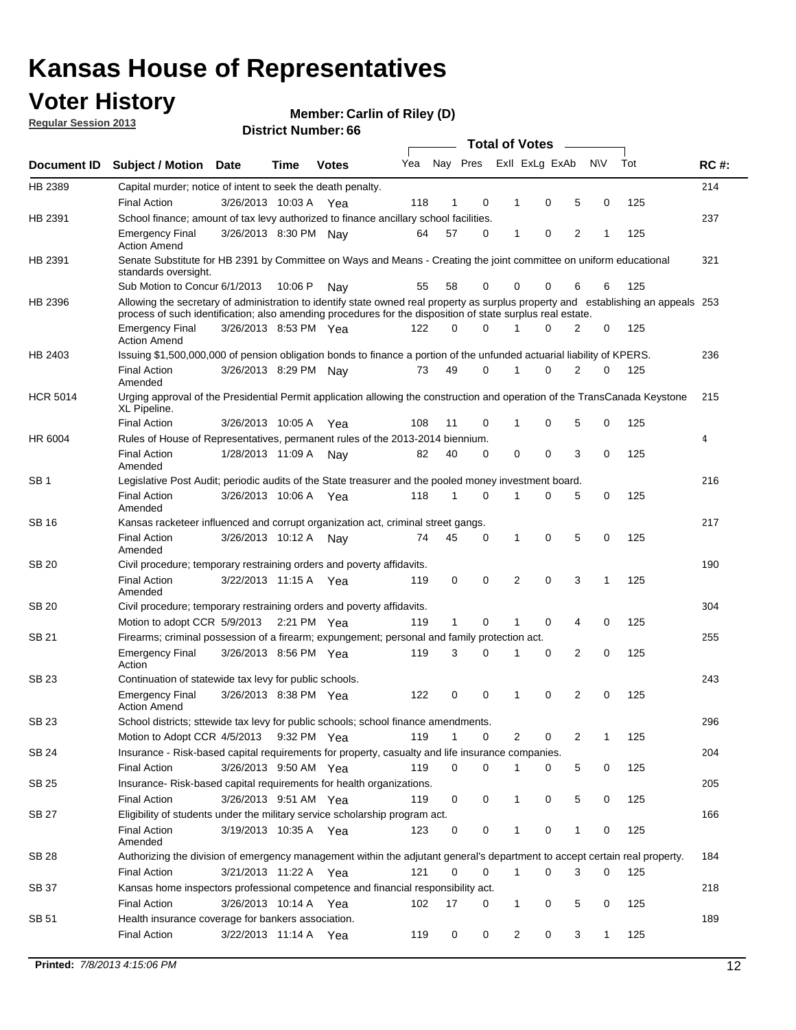### **Voter History**

**Member: Carlin of Riley (D)** 

**Regular Session 2013**

|                 |                                                                                                                                                                                                                                                  |                       |         | <b>DISTRICT MAILINGL.OO</b> |     |              |                         | Total of Votes – |   |                |     |     |             |
|-----------------|--------------------------------------------------------------------------------------------------------------------------------------------------------------------------------------------------------------------------------------------------|-----------------------|---------|-----------------------------|-----|--------------|-------------------------|------------------|---|----------------|-----|-----|-------------|
| Document ID     | <b>Subject / Motion</b>                                                                                                                                                                                                                          | <b>Date</b>           | Time    | <b>Votes</b>                | Yea |              | Nay Pres Exll ExLg ExAb |                  |   |                | N\V | Tot | <b>RC#:</b> |
| HB 2389         | Capital murder; notice of intent to seek the death penalty.                                                                                                                                                                                      |                       |         |                             |     |              |                         |                  |   |                |     |     | 214         |
|                 | <b>Final Action</b>                                                                                                                                                                                                                              | 3/26/2013 10:03 A     |         | Yea                         | 118 | 1            | 0                       | 1                | 0 | 5              | 0   | 125 |             |
| HB 2391         | School finance; amount of tax levy authorized to finance ancillary school facilities.                                                                                                                                                            |                       |         |                             |     |              |                         |                  |   |                |     |     | 237         |
|                 | <b>Emergency Final</b><br><b>Action Amend</b>                                                                                                                                                                                                    | 3/26/2013 8:30 PM Nay |         |                             | 64  | 57           | 0                       | 1                | 0 | $\overline{2}$ | 1   | 125 |             |
| HB 2391         | Senate Substitute for HB 2391 by Committee on Ways and Means - Creating the joint committee on uniform educational<br>standards oversight.                                                                                                       |                       |         |                             |     |              |                         |                  |   |                |     |     | 321         |
|                 | Sub Motion to Concur 6/1/2013                                                                                                                                                                                                                    |                       | 10:06 P | Nav                         | 55  | 58           | $\Omega$                | 0                | 0 | 6              | 6   | 125 |             |
| HB 2396         | Allowing the secretary of administration to identify state owned real property as surplus property and establishing an appeals 253<br>process of such identification; also amending procedures for the disposition of state surplus real estate. |                       |         |                             |     |              |                         |                  |   |                |     |     |             |
|                 | <b>Emergency Final</b><br><b>Action Amend</b>                                                                                                                                                                                                    | 3/26/2013 8:53 PM Yea |         |                             | 122 | 0            | 0                       |                  | 0 | 2              | 0   | 125 |             |
| HB 2403         | Issuing \$1,500,000,000 of pension obligation bonds to finance a portion of the unfunded actuarial liability of KPERS.                                                                                                                           |                       |         |                             |     |              |                         |                  |   |                |     |     | 236         |
|                 | <b>Final Action</b><br>Amended                                                                                                                                                                                                                   | 3/26/2013 8:29 PM Nay |         |                             | 73  | 49           | 0                       | 1                | 0 | $\overline{2}$ | 0   | 125 |             |
| <b>HCR 5014</b> | Urging approval of the Presidential Permit application allowing the construction and operation of the TransCanada Keystone<br>XL Pipeline.                                                                                                       |                       |         |                             |     |              |                         |                  |   |                |     |     | 215         |
|                 | <b>Final Action</b>                                                                                                                                                                                                                              | 3/26/2013 10:05 A     |         | Yea                         | 108 | 11           | 0                       |                  | 0 | 5              | 0   | 125 |             |
| HR 6004         | Rules of House of Representatives, permanent rules of the 2013-2014 biennium.                                                                                                                                                                    |                       |         |                             |     |              |                         |                  |   |                |     |     | 4           |
|                 | <b>Final Action</b><br>Amended                                                                                                                                                                                                                   | 1/28/2013 11:09 A     |         | Nay                         | 82  | 40           | $\Omega$                | 0                | 0 | 3              | 0   | 125 |             |
| SB <sub>1</sub> | Legislative Post Audit; periodic audits of the State treasurer and the pooled money investment board.                                                                                                                                            |                       |         |                             |     |              |                         |                  |   |                |     |     | 216         |
|                 | <b>Final Action</b><br>Amended                                                                                                                                                                                                                   | 3/26/2013 10:06 A     |         | Yea                         | 118 | 1            | $\Omega$                | 1                | 0 | 5              | 0   | 125 |             |
| <b>SB16</b>     | Kansas racketeer influenced and corrupt organization act, criminal street gangs.                                                                                                                                                                 |                       |         |                             |     |              |                         |                  |   |                |     |     | 217         |
|                 | <b>Final Action</b><br>Amended                                                                                                                                                                                                                   | 3/26/2013 10:12 A     |         | Nav                         | 74  | 45           | 0                       | $\mathbf{1}$     | 0 | 5              | 0   | 125 |             |
| SB 20           | Civil procedure; temporary restraining orders and poverty affidavits.                                                                                                                                                                            |                       |         |                             |     |              |                         |                  |   |                |     |     | 190         |
|                 | <b>Final Action</b><br>Amended                                                                                                                                                                                                                   | 3/22/2013 11:15 A     |         | Yea                         | 119 | 0            | 0                       | 2                | 0 | 3              | 1   | 125 |             |
| <b>SB 20</b>    | Civil procedure; temporary restraining orders and poverty affidavits.                                                                                                                                                                            |                       |         |                             |     |              |                         |                  |   |                |     |     | 304         |
|                 | Motion to adopt CCR 5/9/2013 2:21 PM Yea                                                                                                                                                                                                         |                       |         |                             | 119 | $\mathbf{1}$ | $\Omega$                |                  | 0 | 4              | 0   | 125 |             |
| SB 21           | Firearms; criminal possession of a firearm; expungement; personal and family protection act.                                                                                                                                                     |                       |         |                             |     |              |                         |                  |   |                |     |     | 255         |
|                 | <b>Emergency Final</b><br>Action                                                                                                                                                                                                                 | 3/26/2013 8:56 PM Yea |         |                             | 119 | 3            | 0                       | 1                | 0 | 2              | 0   | 125 |             |
| SB 23           | Continuation of statewide tax levy for public schools.                                                                                                                                                                                           |                       |         |                             |     |              |                         |                  |   |                |     |     | 243         |
|                 | <b>Emergency Final</b><br><b>Action Amend</b>                                                                                                                                                                                                    | 3/26/2013 8:38 PM Yea |         |                             | 122 | 0            | 0                       | 1                | 0 | 2              | 0   | 125 |             |
| SB 23           | School districts; sttewide tax levy for public schools; school finance amendments.                                                                                                                                                               |                       |         |                             |     |              |                         |                  |   |                |     |     | 296         |
|                 | Motion to Adopt CCR 4/5/2013                                                                                                                                                                                                                     |                       |         | 9:32 PM Yea                 | 119 | 1            | 0                       | 2                | 0 | 2              | 1   | 125 |             |
| SB 24           | Insurance - Risk-based capital requirements for property, casualty and life insurance companies.                                                                                                                                                 |                       |         |                             |     |              |                         |                  |   |                |     |     | 204         |
|                 | <b>Final Action</b>                                                                                                                                                                                                                              | 3/26/2013 9:50 AM Yea |         |                             | 119 | 0            | 0                       | 1                | 0 | 5              | 0   | 125 |             |
| <b>SB 25</b>    | Insurance-Risk-based capital requirements for health organizations.                                                                                                                                                                              |                       |         |                             |     |              |                         |                  |   |                |     |     | 205         |
|                 | <b>Final Action</b>                                                                                                                                                                                                                              | 3/26/2013 9:51 AM Yea |         |                             | 119 | 0            | 0                       | 1                | 0 | 5              | 0   | 125 |             |
| <b>SB 27</b>    | Eligibility of students under the military service scholarship program act.                                                                                                                                                                      |                       |         |                             |     |              |                         |                  |   |                |     |     | 166         |
|                 | <b>Final Action</b><br>Amended                                                                                                                                                                                                                   | 3/19/2013 10:35 A Yea |         |                             | 123 | 0            | 0                       |                  | 0 | 1              | 0   | 125 |             |
| SB 28           | Authorizing the division of emergency management within the adjutant general's department to accept certain real property.                                                                                                                       |                       |         |                             |     |              |                         |                  |   |                |     |     | 184         |
|                 | <b>Final Action</b>                                                                                                                                                                                                                              | 3/21/2013 11:22 A Yea |         |                             | 121 | 0            | 0                       | 1                | 0 | 3              | 0   | 125 |             |
| SB 37           | Kansas home inspectors professional competence and financial responsibility act.                                                                                                                                                                 |                       |         |                             |     |              |                         |                  |   |                |     |     | 218         |
|                 | <b>Final Action</b>                                                                                                                                                                                                                              | 3/26/2013 10:14 A Yea |         |                             | 102 | 17           | 0                       | 1                | 0 | 5              | 0   | 125 |             |
| SB 51           | Health insurance coverage for bankers association.                                                                                                                                                                                               |                       |         |                             |     |              |                         |                  |   |                |     |     | 189         |
|                 | <b>Final Action</b>                                                                                                                                                                                                                              | 3/22/2013 11:14 A Yea |         |                             | 119 | 0            | 0                       | 2                | 0 | 3              | 1   | 125 |             |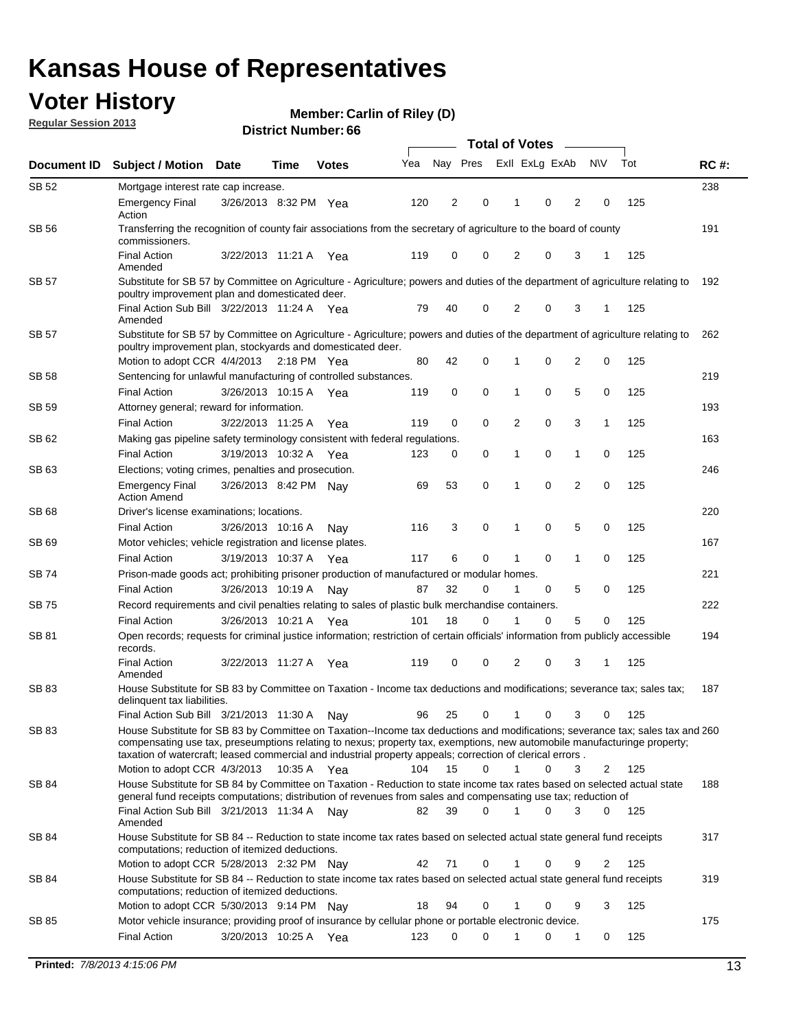### **Voter History**

**Member: Carlin of Riley (D)** 

**Regular Session 2013**

| Document ID  | <b>Subject / Motion Date</b>                                                                                                                                                                                                                                                                                                                                            |                       | Time          | <b>Votes</b> | Yea | Nay Pres |             | Exll ExLg ExAb |   |                | <b>NV</b> | Tot | <b>RC#:</b> |
|--------------|-------------------------------------------------------------------------------------------------------------------------------------------------------------------------------------------------------------------------------------------------------------------------------------------------------------------------------------------------------------------------|-----------------------|---------------|--------------|-----|----------|-------------|----------------|---|----------------|-----------|-----|-------------|
| SB 52        | Mortgage interest rate cap increase.                                                                                                                                                                                                                                                                                                                                    |                       |               |              |     |          |             |                |   |                |           |     | 238         |
|              | <b>Emergency Final</b><br>Action                                                                                                                                                                                                                                                                                                                                        | 3/26/2013 8:32 PM Yea |               |              | 120 | 2        | 0           | 1              | 0 | 2              | 0         | 125 |             |
| SB 56        | Transferring the recognition of county fair associations from the secretary of agriculture to the board of county<br>commissioners.                                                                                                                                                                                                                                     |                       |               |              |     |          |             |                |   |                |           |     | 191         |
|              | <b>Final Action</b><br>Amended                                                                                                                                                                                                                                                                                                                                          | 3/22/2013 11:21 A     |               | Yea          | 119 | 0        | 0           | 2              | 0 | 3              | 1         | 125 |             |
| <b>SB 57</b> | Substitute for SB 57 by Committee on Agriculture - Agriculture; powers and duties of the department of agriculture relating to<br>poultry improvement plan and domesticated deer.                                                                                                                                                                                       |                       |               |              |     |          |             |                |   |                |           |     | 192         |
|              | Final Action Sub Bill 3/22/2013 11:24 A Yea<br>Amended                                                                                                                                                                                                                                                                                                                  |                       |               |              | 79  | 40       | 0           | 2              | 0 | 3              | 1         | 125 |             |
| SB 57        | Substitute for SB 57 by Committee on Agriculture - Agriculture; powers and duties of the department of agriculture relating to<br>poultry improvement plan, stockyards and domesticated deer.                                                                                                                                                                           |                       |               |              |     |          |             |                |   |                |           |     | 262         |
|              | Motion to adopt CCR 4/4/2013                                                                                                                                                                                                                                                                                                                                            |                       | $2:18$ PM Yea |              | 80  | 42       | 0           |                | 0 | 2              | 0         | 125 |             |
| SB 58        | Sentencing for unlawful manufacturing of controlled substances.                                                                                                                                                                                                                                                                                                         |                       |               |              |     |          |             |                |   |                |           |     | 219         |
| <b>SB 59</b> | <b>Final Action</b><br>Attorney general; reward for information.                                                                                                                                                                                                                                                                                                        | 3/26/2013 10:15 A     |               | Yea          | 119 | 0        | 0           | 1              | 0 | 5              | 0         | 125 | 193         |
|              | <b>Final Action</b>                                                                                                                                                                                                                                                                                                                                                     | 3/22/2013 11:25 A     |               | Yea          | 119 | 0        | $\mathbf 0$ | 2              | 0 | 3              | 1         | 125 |             |
| SB 62        | Making gas pipeline safety terminology consistent with federal regulations.                                                                                                                                                                                                                                                                                             |                       |               |              |     |          |             |                |   |                |           |     | 163         |
|              | <b>Final Action</b>                                                                                                                                                                                                                                                                                                                                                     | 3/19/2013 10:32 A     |               | Yea          | 123 | 0        | 0           | 1              | 0 | 1              | 0         | 125 |             |
| SB 63        | Elections; voting crimes, penalties and prosecution.                                                                                                                                                                                                                                                                                                                    |                       |               |              |     |          |             |                |   |                |           |     | 246         |
|              | <b>Emergency Final</b><br><b>Action Amend</b>                                                                                                                                                                                                                                                                                                                           | 3/26/2013 8:42 PM Nay |               |              | 69  | 53       | 0           | 1              | 0 | $\overline{2}$ | 0         | 125 |             |
| SB 68        | Driver's license examinations; locations.                                                                                                                                                                                                                                                                                                                               |                       |               |              |     |          |             |                |   |                |           |     | 220         |
|              | <b>Final Action</b>                                                                                                                                                                                                                                                                                                                                                     | 3/26/2013 10:16 A     |               | Nay          | 116 | 3        | 0           | 1              | 0 | 5              | 0         | 125 |             |
| SB 69        | Motor vehicles; vehicle registration and license plates.                                                                                                                                                                                                                                                                                                                |                       |               |              |     |          |             |                |   |                |           |     | 167         |
|              | <b>Final Action</b>                                                                                                                                                                                                                                                                                                                                                     | 3/19/2013 10:37 A     |               | Yea          | 117 | 6        | 0           | 1              | 0 | 1              | 0         | 125 |             |
| SB 74        | Prison-made goods act; prohibiting prisoner production of manufactured or modular homes.                                                                                                                                                                                                                                                                                |                       |               |              |     |          |             |                |   |                |           |     | 221         |
|              | <b>Final Action</b>                                                                                                                                                                                                                                                                                                                                                     | 3/26/2013 10:19 A     |               | Nay          | 87  | 32       | 0           | 1              | 0 | 5              | 0         | 125 |             |
| SB 75        | Record requirements and civil penalties relating to sales of plastic bulk merchandise containers.                                                                                                                                                                                                                                                                       |                       |               |              |     |          |             |                |   |                |           |     | 222         |
|              | <b>Final Action</b>                                                                                                                                                                                                                                                                                                                                                     | 3/26/2013 10:21 A     |               | Yea          | 101 | 18       | 0           |                | 0 | 5              | 0         | 125 |             |
| SB 81        | Open records; requests for criminal justice information; restriction of certain officials' information from publicly accessible<br>records.                                                                                                                                                                                                                             |                       |               |              |     |          |             |                |   |                |           |     | 194         |
|              | <b>Final Action</b><br>Amended                                                                                                                                                                                                                                                                                                                                          | 3/22/2013 11:27 A     |               | Yea          | 119 | 0        | 0           | 2              | 0 | 3              | 1         | 125 |             |
| SB 83        | House Substitute for SB 83 by Committee on Taxation - Income tax deductions and modifications; severance tax; sales tax;<br>delinquent tax liabilities.                                                                                                                                                                                                                 |                       |               |              |     |          |             |                |   |                |           |     | 187         |
|              | Final Action Sub Bill 3/21/2013 11:30 A                                                                                                                                                                                                                                                                                                                                 |                       |               | Nav          | 96  | 25       | 0           | 1              | 0 | 3              | 0         | 125 |             |
| SB 83        | House Substitute for SB 83 by Committee on Taxation--Income tax deductions and modifications; severance tax; sales tax and 260<br>compensating use tax, preseumptions relating to nexus; property tax, exemptions, new automobile manufacturinge property;<br>taxation of watercraft; leased commercial and industrial property appeals; correction of clerical errors. |                       |               |              |     |          |             |                |   |                |           |     |             |
|              | Motion to adopt CCR 4/3/2013                                                                                                                                                                                                                                                                                                                                            |                       | 10:35 A Yea   |              | 104 | 15       | $\Omega$    | $\mathbf 1$    | 0 | 3              | 2         | 125 |             |
| SB 84        | House Substitute for SB 84 by Committee on Taxation - Reduction to state income tax rates based on selected actual state<br>general fund receipts computations; distribution of revenues from sales and compensating use tax; reduction of                                                                                                                              |                       |               |              |     |          |             |                |   |                |           |     | 188         |
|              | Final Action Sub Bill 3/21/2013 11:34 A Nay<br>Amended                                                                                                                                                                                                                                                                                                                  |                       |               |              | 82  | 39       | $\Omega$    |                | 0 | 3              | $\Omega$  | 125 |             |
| SB 84        | House Substitute for SB 84 -- Reduction to state income tax rates based on selected actual state general fund receipts<br>computations; reduction of itemized deductions.                                                                                                                                                                                               |                       |               |              |     |          |             |                |   |                |           |     | 317         |
|              | Motion to adopt CCR 5/28/2013 2:32 PM Nay                                                                                                                                                                                                                                                                                                                               |                       |               |              | 42  | 71       | 0           |                | 0 | 9              | 2         | 125 |             |
| SB 84        | House Substitute for SB 84 -- Reduction to state income tax rates based on selected actual state general fund receipts<br>computations; reduction of itemized deductions.                                                                                                                                                                                               |                       |               |              |     |          |             |                |   |                |           |     | 319         |
|              | Motion to adopt CCR 5/30/2013 9:14 PM Nav                                                                                                                                                                                                                                                                                                                               |                       |               |              | 18  | 94       | 0           |                | 0 | 9              | 3         | 125 |             |
| SB 85        | Motor vehicle insurance; providing proof of insurance by cellular phone or portable electronic device.<br><b>Final Action</b>                                                                                                                                                                                                                                           | 3/20/2013 10:25 A Yea |               |              | 123 | 0        | 0           |                | 0 | 1              | 0         | 125 | 175         |
|              |                                                                                                                                                                                                                                                                                                                                                                         |                       |               |              |     |          |             |                |   |                |           |     |             |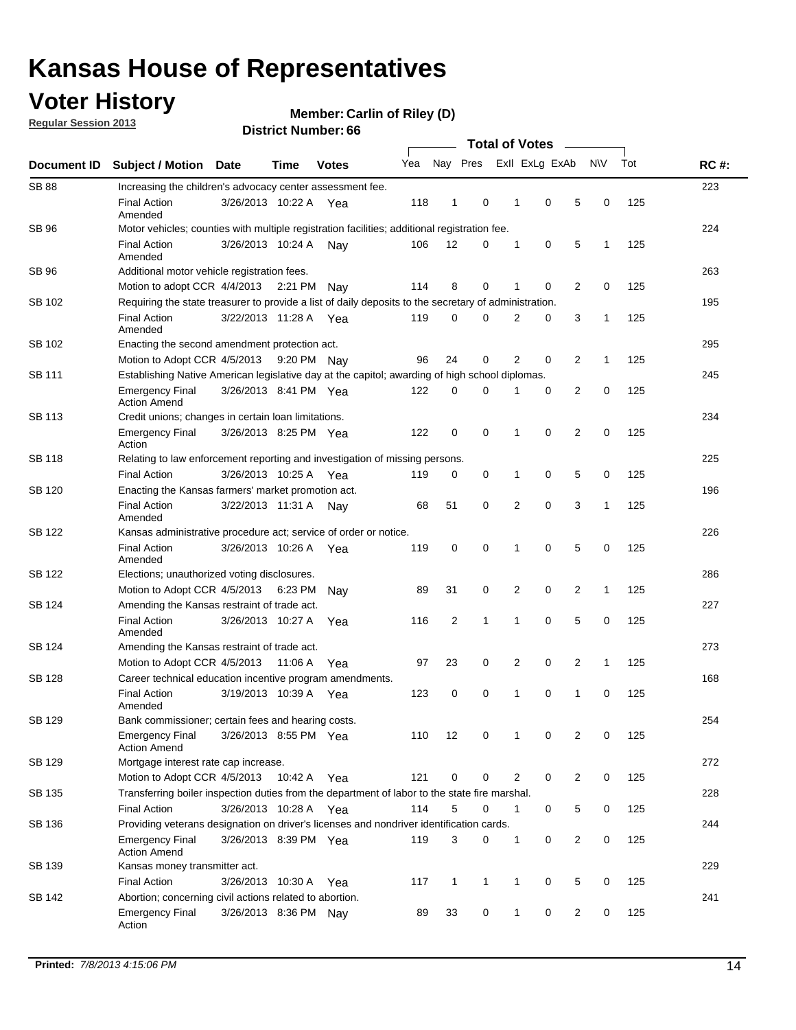### **Voter History**

**Regular Session 2013**

#### **Member: Carlin of Riley (D)**

|                    |                                                                                                       |                       |             |              |     | <b>Total of Votes</b> |              |  |                |                |                |              |     |             |
|--------------------|-------------------------------------------------------------------------------------------------------|-----------------------|-------------|--------------|-----|-----------------------|--------------|--|----------------|----------------|----------------|--------------|-----|-------------|
| <b>Document ID</b> | Subject / Motion Date                                                                                 |                       | <b>Time</b> | <b>Votes</b> | Yea | Nay Pres              |              |  |                | Exll ExLg ExAb |                | N\V          | Tot | <b>RC#:</b> |
| <b>SB 88</b>       | Increasing the children's advocacy center assessment fee.                                             |                       |             |              |     |                       |              |  |                |                |                |              |     | 223         |
|                    | <b>Final Action</b><br>Amended                                                                        | 3/26/2013 10:22 A     |             | Yea          | 118 | $\mathbf{1}$          | 0            |  | 1              | $\mathbf 0$    | 5              | 0            | 125 |             |
| SB 96              | Motor vehicles; counties with multiple registration facilities; additional registration fee.          |                       |             |              |     |                       |              |  |                |                |                |              |     | 224         |
|                    | <b>Final Action</b><br>Amended                                                                        | 3/26/2013 10:24 A     |             | Nav          | 106 | 12                    | $\Omega$     |  | 1              | 0              | 5              | 1            | 125 |             |
| <b>SB 96</b>       | Additional motor vehicle registration fees.                                                           |                       |             |              |     |                       |              |  |                |                |                |              |     | 263         |
|                    | Motion to adopt CCR 4/4/2013 2:21 PM                                                                  |                       |             | Nav          | 114 | 8                     | 0            |  | 1              | 0              | 2              | 0            | 125 |             |
| SB 102             | Requiring the state treasurer to provide a list of daily deposits to the secretary of administration. |                       |             |              |     |                       |              |  |                |                |                |              |     | 195         |
|                    | <b>Final Action</b><br>Amended                                                                        | 3/22/2013 11:28 A     |             | Yea          | 119 | 0                     | 0            |  | 2              | 0              | 3              | 1            | 125 |             |
| SB 102             | Enacting the second amendment protection act.                                                         |                       |             |              |     |                       |              |  |                |                |                |              |     | 295         |
|                    | Motion to Adopt CCR 4/5/2013 9:20 PM Nay                                                              |                       |             |              | 96  | 24                    | 0            |  | $\overline{2}$ | 0              | $\overline{2}$ | $\mathbf{1}$ | 125 |             |
| SB 111             | Establishing Native American legislative day at the capitol; awarding of high school diplomas.        |                       |             |              |     |                       |              |  |                |                |                |              | 245 |             |
|                    | <b>Emergency Final</b><br><b>Action Amend</b>                                                         | 3/26/2013 8:41 PM Yea |             |              | 122 | 0                     | $\Omega$     |  |                | 0              | 2              | $\mathbf 0$  | 125 |             |
| <b>SB 113</b>      | Credit unions; changes in certain loan limitations.                                                   |                       |             |              |     |                       |              |  |                |                |                |              |     | 234         |
|                    | <b>Emergency Final</b><br>Action                                                                      | 3/26/2013 8:25 PM Yea |             |              | 122 | 0                     | 0            |  | 1              | 0              | $\overline{2}$ | 0            | 125 |             |
| <b>SB 118</b>      | Relating to law enforcement reporting and investigation of missing persons.                           |                       |             |              |     |                       |              |  |                |                |                |              |     | 225         |
|                    | <b>Final Action</b>                                                                                   | 3/26/2013 10:25 A     |             | Yea          | 119 | 0                     | 0            |  | 1              | 0              | 5              | 0            | 125 |             |
| SB 120             | Enacting the Kansas farmers' market promotion act.                                                    |                       |             |              |     |                       |              |  |                |                |                |              |     | 196         |
|                    | <b>Final Action</b><br>Amended                                                                        | 3/22/2013 11:31 A     |             | Nav          | 68  | 51                    | 0            |  | 2              | $\mathbf 0$    | 3              | 1            | 125 |             |
| SB 122             | Kansas administrative procedure act; service of order or notice.                                      |                       |             |              |     |                       |              |  |                |                |                |              |     | 226         |
|                    | <b>Final Action</b><br>Amended                                                                        | 3/26/2013 10:26 A     |             | Yea          | 119 | 0                     | 0            |  | 1              | $\mathbf 0$    | 5              | 0            | 125 |             |
| SB 122             | Elections; unauthorized voting disclosures.                                                           |                       |             |              |     |                       |              |  |                |                |                |              |     | 286         |
|                    | Motion to Adopt CCR 4/5/2013                                                                          |                       | 6:23 PM     | Nay          | 89  | 31                    | 0            |  | 2              | 0              | 2              | 1            | 125 |             |
| SB 124             | Amending the Kansas restraint of trade act.                                                           |                       |             |              |     |                       |              |  |                |                |                |              |     | 227         |
|                    | <b>Final Action</b><br>Amended                                                                        | 3/26/2013 10:27 A     |             | Yea          | 116 | $\overline{2}$        | 1            |  | 1              | $\mathbf 0$    | 5              | $\mathbf 0$  | 125 |             |
| SB 124             | Amending the Kansas restraint of trade act.                                                           |                       |             |              |     |                       |              |  |                |                |                |              |     | 273         |
|                    | Motion to Adopt CCR 4/5/2013                                                                          |                       | 11:06 A     | Yea          | 97  | 23                    | 0            |  | 2              | 0              | 2              | $\mathbf{1}$ | 125 |             |
| SB 128             | Career technical education incentive program amendments.                                              |                       |             |              |     |                       |              |  |                |                |                |              |     | 168         |
|                    | <b>Final Action</b><br>Amended                                                                        | 3/19/2013 10:39 A     |             | Yea          | 123 | 0                     | 0            |  | 1              | 0              | 1              | 0            | 125 |             |
| SB 129             | Bank commissioner; certain fees and hearing costs.                                                    |                       |             |              |     |                       |              |  |                |                |                |              |     | 254         |
|                    | Emergency Final<br><b>Action Amend</b>                                                                | 3/26/2013 8:55 PM Yea |             |              | 110 | 12                    | 0            |  | $\mathbf 1$    | 0              | 2              | 0            | 125 |             |
| <b>SB 129</b>      | Mortgage interest rate cap increase.                                                                  |                       |             |              |     |                       |              |  |                |                |                |              |     | 272         |
|                    | Motion to Adopt CCR 4/5/2013                                                                          |                       | 10:42 A     | Yea          | 121 | 0                     | 0            |  | 2              | $\mathbf 0$    | 2              | 0            | 125 |             |
| SB 135             | Transferring boiler inspection duties from the department of labor to the state fire marshal.         |                       |             |              |     |                       |              |  |                |                |                |              |     | 228         |
|                    | <b>Final Action</b>                                                                                   | 3/26/2013 10:28 A Yea |             |              | 114 | 5                     | 0            |  | 1              | 0              | 5              | 0            | 125 |             |
| SB 136             | Providing veterans designation on driver's licenses and nondriver identification cards.               |                       |             |              |     |                       |              |  |                |                |                |              |     | 244         |
|                    | <b>Emergency Final</b><br><b>Action Amend</b>                                                         | 3/26/2013 8:39 PM Yea |             |              | 119 | 3                     | 0            |  | 1              | 0              | 2              | 0            | 125 |             |
| SB 139             | Kansas money transmitter act.                                                                         |                       |             |              |     |                       |              |  |                |                |                |              |     | 229         |
|                    | <b>Final Action</b>                                                                                   | 3/26/2013 10:30 A Yea |             |              | 117 | 1                     | $\mathbf{1}$ |  | $\mathbf{1}$   | $\mathbf 0$    | 5              | 0            | 125 |             |
| SB 142             | Abortion; concerning civil actions related to abortion.                                               |                       |             |              |     |                       |              |  |                |                |                |              |     | 241         |
|                    | Emergency Final<br>Action                                                                             | 3/26/2013 8:36 PM Nay |             |              | 89  | 33                    | 0            |  | $\mathbf{1}$   | 0              | $\overline{2}$ | 0            | 125 |             |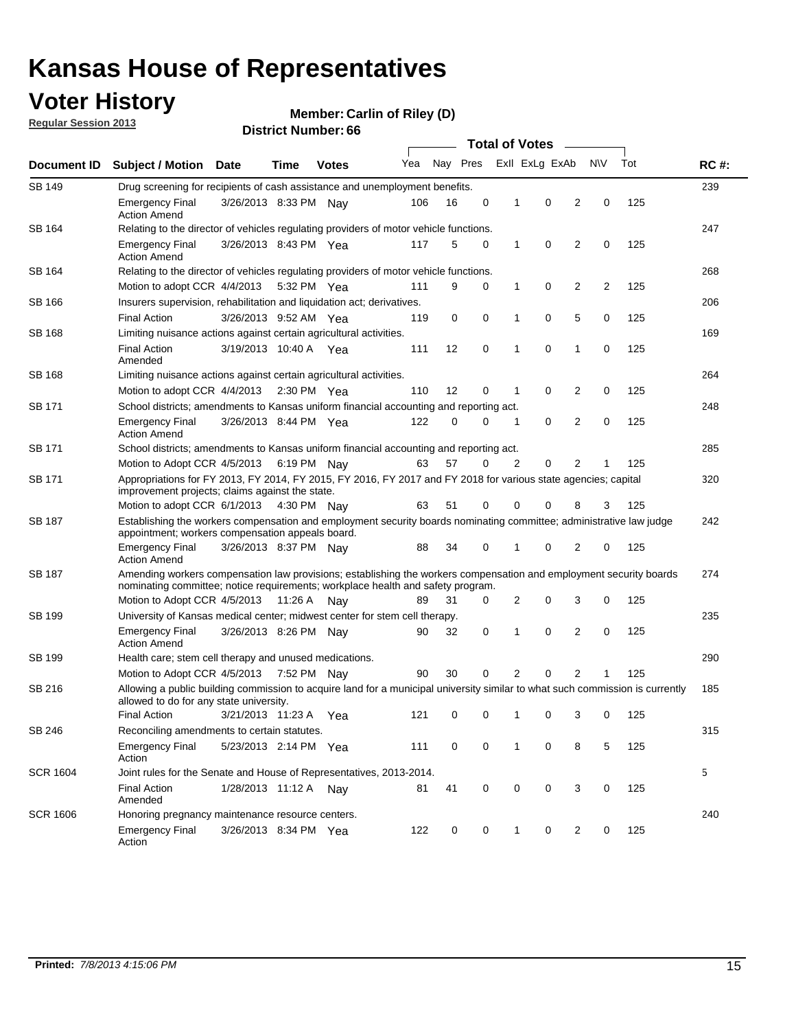### **Voter History**

**Member: Carlin of Riley (D)** 

**Regular Session 2013**

| Document ID     |                                                                                                                                                                                                       |                                                                                                                                                                         |             |              |     |          | <b>Total of Votes</b> |   |                | $\sim$         |           |     | <b>RC#:</b> |
|-----------------|-------------------------------------------------------------------------------------------------------------------------------------------------------------------------------------------------------|-------------------------------------------------------------------------------------------------------------------------------------------------------------------------|-------------|--------------|-----|----------|-----------------------|---|----------------|----------------|-----------|-----|-------------|
|                 | <b>Subject / Motion Date</b>                                                                                                                                                                          |                                                                                                                                                                         | Time        | <b>Votes</b> | Yea | Nay Pres |                       |   | Exll ExLg ExAb |                | <b>NV</b> | Tot |             |
| SB 149          | Drug screening for recipients of cash assistance and unemployment benefits.                                                                                                                           |                                                                                                                                                                         |             |              |     |          |                       |   |                |                |           |     |             |
|                 | <b>Emergency Final</b><br><b>Action Amend</b>                                                                                                                                                         | 3/26/2013 8:33 PM Nav                                                                                                                                                   |             |              | 106 | 16       | 0                     | 1 | 0              | 2              | 0         | 125 |             |
| SB 164          | Relating to the director of vehicles regulating providers of motor vehicle functions.                                                                                                                 |                                                                                                                                                                         |             |              |     |          |                       |   |                |                |           |     | 247         |
|                 | <b>Emergency Final</b><br><b>Action Amend</b>                                                                                                                                                         | 3/26/2013 8:43 PM Yea                                                                                                                                                   |             |              | 117 | 5        | 0                     | 1 | 0              | 2              | 0         | 125 |             |
| SB 164          | Relating to the director of vehicles regulating providers of motor vehicle functions.                                                                                                                 |                                                                                                                                                                         |             |              |     |          |                       |   |                |                |           |     | 268         |
|                 | Motion to adopt CCR 4/4/2013                                                                                                                                                                          |                                                                                                                                                                         | 5:32 PM Yea |              | 111 | 9        | 0                     | 1 | 0              | 2              | 2         | 125 |             |
| SB 166          | Insurers supervision, rehabilitation and liquidation act; derivatives.                                                                                                                                |                                                                                                                                                                         |             |              |     |          |                       |   |                |                |           |     | 206         |
|                 | <b>Final Action</b>                                                                                                                                                                                   | 3/26/2013 9:52 AM Yea                                                                                                                                                   |             |              | 119 | 0        | 0                     | 1 | 0              | 5              | 0         | 125 |             |
| SB 168          | Limiting nuisance actions against certain agricultural activities.                                                                                                                                    |                                                                                                                                                                         |             |              |     |          |                       |   |                |                |           |     | 169         |
|                 | <b>Final Action</b><br>Amended                                                                                                                                                                        | 3/19/2013 10:40 A Yea                                                                                                                                                   |             |              | 111 | 12       | 0                     | 1 | 0              | 1              | 0         | 125 |             |
| SB 168          | Limiting nuisance actions against certain agricultural activities.                                                                                                                                    |                                                                                                                                                                         |             |              |     |          |                       |   |                |                |           |     | 264         |
|                 | Motion to adopt CCR 4/4/2013                                                                                                                                                                          |                                                                                                                                                                         |             | 2:30 PM Yea  | 110 | 12       | 0                     | 1 | 0              | 2              | 0         | 125 |             |
| <b>SB 171</b>   | School districts; amendments to Kansas uniform financial accounting and reporting act.                                                                                                                |                                                                                                                                                                         |             |              |     |          |                       |   |                |                |           |     | 248         |
|                 | <b>Emergency Final</b><br><b>Action Amend</b>                                                                                                                                                         | 3/26/2013 8:44 PM Yea                                                                                                                                                   |             |              | 122 | 0        | 0                     | 1 | 0              | 2              | 0         | 125 |             |
| SB 171          | School districts; amendments to Kansas uniform financial accounting and reporting act.                                                                                                                |                                                                                                                                                                         |             |              |     |          |                       |   |                |                |           |     | 285         |
|                 | Motion to Adopt CCR 4/5/2013 6:19 PM Nay                                                                                                                                                              |                                                                                                                                                                         |             |              | 63  | 57       | 0                     | 2 | 0              | 2              | 1         |     |             |
| SB 171          | Appropriations for FY 2013, FY 2014, FY 2015, FY 2016, FY 2017 and FY 2018 for various state agencies; capital<br>improvement projects; claims against the state.                                     |                                                                                                                                                                         |             |              |     |          |                       |   |                |                |           | 320 |             |
|                 | Motion to adopt CCR 6/1/2013 4:30 PM Nay                                                                                                                                                              |                                                                                                                                                                         |             |              | 63  | 51       | 0                     | 0 | 0              | 8              | 3         | 125 |             |
| SB 187          |                                                                                                                                                                                                       | Establishing the workers compensation and employment security boards nominating committee; administrative law judge<br>appointment; workers compensation appeals board. |             |              |     |          |                       |   |                |                |           |     |             |
|                 | <b>Emergency Final</b><br><b>Action Amend</b>                                                                                                                                                         | 3/26/2013 8:37 PM Nay                                                                                                                                                   |             |              | 88  | 34       | 0                     | 1 | 0              | 2              | 0         | 125 |             |
| SB 187          | Amending workers compensation law provisions; establishing the workers compensation and employment security boards<br>nominating committee; notice requirements; workplace health and safety program. |                                                                                                                                                                         |             |              |     |          |                       |   |                |                |           |     | 274         |
|                 | Motion to Adopt CCR 4/5/2013 11:26 A Nay                                                                                                                                                              |                                                                                                                                                                         |             |              | 89  | 31       | 0                     | 2 | 0              | 3              | 0         | 125 |             |
| SB 199          | University of Kansas medical center; midwest center for stem cell therapy.                                                                                                                            |                                                                                                                                                                         |             |              |     |          |                       |   |                |                |           |     | 235         |
|                 | <b>Emergency Final</b><br><b>Action Amend</b>                                                                                                                                                         | 3/26/2013 8:26 PM Nav                                                                                                                                                   |             |              | 90  | 32       | 0                     | 1 | 0              | 2              | 0         | 125 |             |
| SB 199          | Health care; stem cell therapy and unused medications.                                                                                                                                                |                                                                                                                                                                         |             |              |     |          |                       |   |                |                |           |     | 290         |
|                 | Motion to Adopt CCR 4/5/2013                                                                                                                                                                          |                                                                                                                                                                         | 7:52 PM Nay |              | 90  | 30       | 0                     | 2 | 0              | $\overline{2}$ | 1         | 125 |             |
| SB 216          | Allowing a public building commission to acquire land for a municipal university similar to what such commission is currently<br>allowed to do for any state university.                              |                                                                                                                                                                         |             |              |     |          |                       |   |                |                |           |     | 185         |
|                 | <b>Final Action</b>                                                                                                                                                                                   | 3/21/2013 11:23 A                                                                                                                                                       |             | Yea          | 121 | 0        | 0                     | 1 | 0              | 3              | 0         | 125 |             |
| SB 246          | Reconciling amendments to certain statutes.                                                                                                                                                           |                                                                                                                                                                         |             |              |     |          |                       |   |                |                |           |     | 315         |
|                 | <b>Emergency Final</b><br>Action                                                                                                                                                                      | 5/23/2013 2:14 PM Yea                                                                                                                                                   |             |              | 111 | 0        | 0                     | 1 | 0              | 8              | 5         | 125 |             |
| <b>SCR 1604</b> | Joint rules for the Senate and House of Representatives, 2013-2014.                                                                                                                                   |                                                                                                                                                                         |             |              |     |          |                       |   |                |                |           |     | 5           |
|                 | <b>Final Action</b><br>Amended                                                                                                                                                                        | 1/28/2013 11:12 A Nay                                                                                                                                                   |             |              | 81  | 41       | 0                     | 0 | 0              | 3              | 0         | 125 |             |
| <b>SCR 1606</b> |                                                                                                                                                                                                       | Honoring pregnancy maintenance resource centers.                                                                                                                        |             |              |     |          |                       |   |                |                |           |     | 240         |
|                 | <b>Emergency Final</b><br>Action                                                                                                                                                                      | 3/26/2013 8:34 PM Yea                                                                                                                                                   |             |              | 122 | 0        | 0                     | 1 | 0              | 2              | 0         | 125 |             |